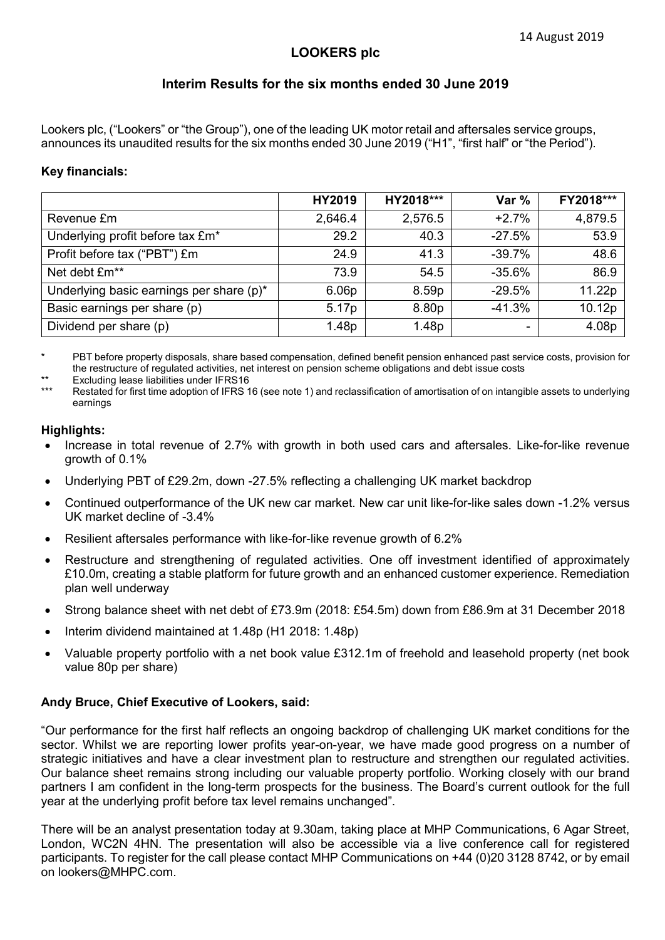## **LOOKERS plc**

## **Interim Results for the six months ended 30 June 2019**

Lookers plc, ("Lookers" or "the Group"), one of the leading UK motor retail and aftersales service groups, announces its unaudited results for the six months ended 30 June 2019 ("H1", "first half" or "the Period").

#### **Key financials:**

|                                          | HY2019            | HY2018*** | Var %    | FY2018*** |
|------------------------------------------|-------------------|-----------|----------|-----------|
| Revenue £m                               | 2,646.4           | 2,576.5   | $+2.7%$  | 4,879.5   |
| Underlying profit before tax £m*         | 29.2              | 40.3      | $-27.5%$ | 53.9      |
| Profit before tax ("PBT") £m             | 24.9              | 41.3      | $-39.7%$ | 48.6      |
| Net debt £m**                            | 73.9              | 54.5      | $-35.6%$ | 86.9      |
| Underlying basic earnings per share (p)* | 6.06 <sub>p</sub> | 8.59p     | $-29.5%$ | 11.22p    |
| Basic earnings per share (p)             | 5.17p             | 8.80p     | $-41.3%$ | 10.12p    |
| Dividend per share (p)                   | 1.48p             | 1.48p     | ۰        | 4.08p     |

PBT before property disposals, share based compensation, defined benefit pension enhanced past service costs, provision for the restructure of regulated activities, net interest on pension scheme obligations and debt issue costs

\*\* Excluding lease liabilities under IFRS16

Restated for first time adoption of IFRS 16 (see note 1) and reclassification of amortisation of on intangible assets to underlying earnings

#### **Highlights:**

- Increase in total revenue of 2.7% with growth in both used cars and aftersales. Like-for-like revenue growth of 0.1%
- Underlying PBT of £29.2m, down -27.5% reflecting a challenging UK market backdrop
- Continued outperformance of the UK new car market. New car unit like-for-like sales down -1.2% versus UK market decline of -3.4%
- Resilient aftersales performance with like-for-like revenue growth of 6.2%
- Restructure and strengthening of regulated activities. One off investment identified of approximately £10.0m, creating a stable platform for future growth and an enhanced customer experience. Remediation plan well underway
- Strong balance sheet with net debt of £73.9m (2018: £54.5m) down from £86.9m at 31 December 2018
- Interim dividend maintained at 1.48p (H1 2018: 1.48p)
- Valuable property portfolio with a net book value £312.1m of freehold and leasehold property (net book value 80p per share)

#### **Andy Bruce, Chief Executive of Lookers, said:**

"Our performance for the first half reflects an ongoing backdrop of challenging UK market conditions for the sector. Whilst we are reporting lower profits year-on-year, we have made good progress on a number of strategic initiatives and have a clear investment plan to restructure and strengthen our regulated activities. Our balance sheet remains strong including our valuable property portfolio. Working closely with our brand partners I am confident in the long-term prospects for the business. The Board's current outlook for the full year at the underlying profit before tax level remains unchanged".

There will be an analyst presentation today at 9.30am, taking place at MHP Communications, 6 Agar Street, London, WC2N 4HN. The presentation will also be accessible via a live conference call for registered participants. To register for the call please contact MHP Communications on +44 (0)20 3128 8742, or by email on lookers@MHPC.com.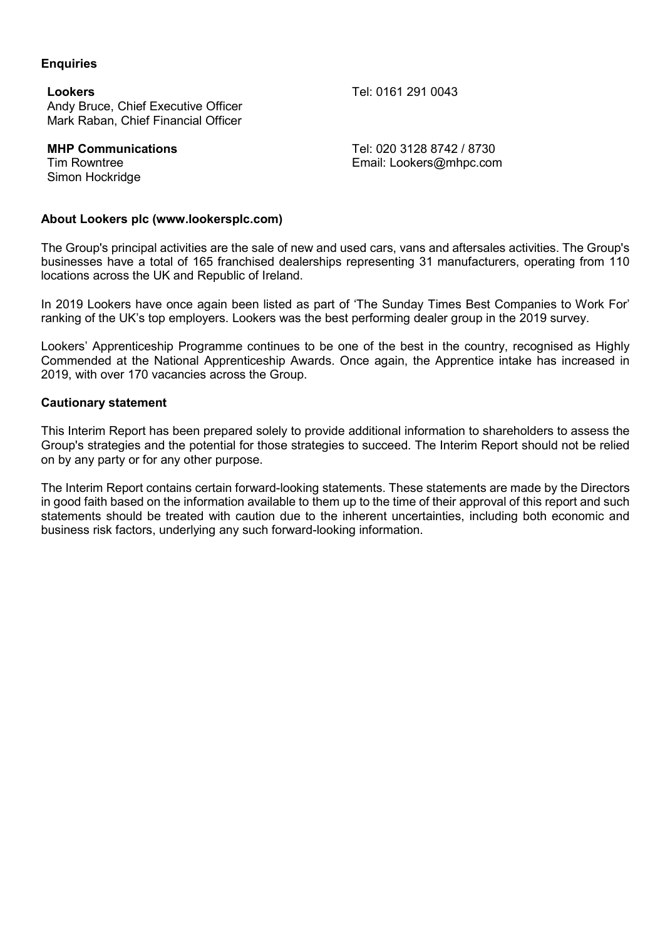#### **Enquiries**

**Lookers** Tel: 0161 291 0043 Andy Bruce, Chief Executive Officer Mark Raban, Chief Financial Officer

Simon Hockridge

**MHP Communications** Tel: 020 3128 8742 / 8730 Tim Rowntree **Email:** [Lookers@mhpc.com](mailto:Lookers@mhpc.com)

### **About Lookers plc (www.lookersplc.com)**

The Group's principal activities are the sale of new and used cars, vans and aftersales activities. The Group's businesses have a total of 165 franchised dealerships representing 31 manufacturers, operating from 110 locations across the UK and Republic of Ireland.

In 2019 Lookers have once again been listed as part of 'The Sunday Times Best Companies to Work For' ranking of the UK's top employers. Lookers was the best performing dealer group in the 2019 survey.

Lookers' Apprenticeship Programme continues to be one of the best in the country, recognised as Highly Commended at the National Apprenticeship Awards. Once again, the Apprentice intake has increased in 2019, with over 170 vacancies across the Group.

#### **Cautionary statement**

This Interim Report has been prepared solely to provide additional information to shareholders to assess the Group's strategies and the potential for those strategies to succeed. The Interim Report should not be relied on by any party or for any other purpose.

The Interim Report contains certain forward-looking statements. These statements are made by the Directors in good faith based on the information available to them up to the time of their approval of this report and such statements should be treated with caution due to the inherent uncertainties, including both economic and business risk factors, underlying any such forward-looking information.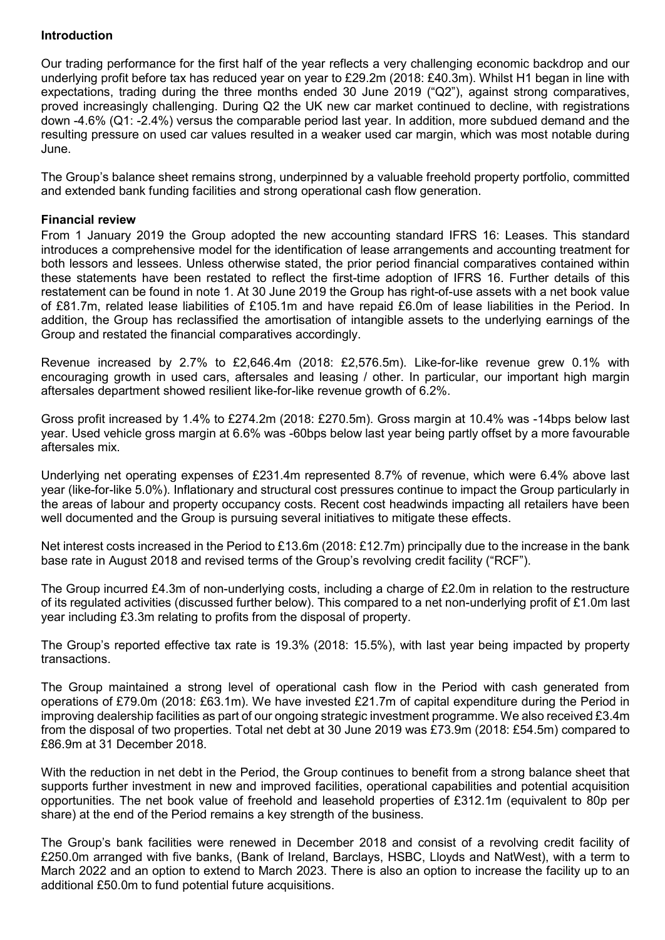## **Introduction**

Our trading performance for the first half of the year reflects a very challenging economic backdrop and our underlying profit before tax has reduced year on year to £29.2m (2018: £40.3m). Whilst H1 began in line with expectations, trading during the three months ended 30 June 2019 ("Q2"), against strong comparatives, proved increasingly challenging. During Q2 the UK new car market continued to decline, with registrations down -4.6% (Q1: -2.4%) versus the comparable period last year. In addition, more subdued demand and the resulting pressure on used car values resulted in a weaker used car margin, which was most notable during June.

The Group's balance sheet remains strong, underpinned by a valuable freehold property portfolio, committed and extended bank funding facilities and strong operational cash flow generation.

### **Financial review**

From 1 January 2019 the Group adopted the new accounting standard IFRS 16: Leases. This standard introduces a comprehensive model for the identification of lease arrangements and accounting treatment for both lessors and lessees. Unless otherwise stated, the prior period financial comparatives contained within these statements have been restated to reflect the first-time adoption of IFRS 16. Further details of this restatement can be found in note 1. At 30 June 2019 the Group has right-of-use assets with a net book value of £81.7m, related lease liabilities of £105.1m and have repaid £6.0m of lease liabilities in the Period. In addition, the Group has reclassified the amortisation of intangible assets to the underlying earnings of the Group and restated the financial comparatives accordingly.

Revenue increased by 2.7% to £2,646.4m (2018: £2,576.5m). Like-for-like revenue grew 0.1% with encouraging growth in used cars, aftersales and leasing / other. In particular, our important high margin aftersales department showed resilient like-for-like revenue growth of 6.2%.

Gross profit increased by 1.4% to £274.2m (2018: £270.5m). Gross margin at 10.4% was -14bps below last year. Used vehicle gross margin at 6.6% was -60bps below last year being partly offset by a more favourable aftersales mix.

Underlying net operating expenses of £231.4m represented 8.7% of revenue, which were 6.4% above last year (like-for-like 5.0%). Inflationary and structural cost pressures continue to impact the Group particularly in the areas of labour and property occupancy costs. Recent cost headwinds impacting all retailers have been well documented and the Group is pursuing several initiatives to mitigate these effects.

Net interest costs increased in the Period to £13.6m (2018: £12.7m) principally due to the increase in the bank base rate in August 2018 and revised terms of the Group's revolving credit facility ("RCF").

The Group incurred £4.3m of non-underlying costs, including a charge of £2.0m in relation to the restructure of its regulated activities (discussed further below). This compared to a net non-underlying profit of £1.0m last year including £3.3m relating to profits from the disposal of property.

The Group's reported effective tax rate is 19.3% (2018: 15.5%), with last year being impacted by property transactions.

The Group maintained a strong level of operational cash flow in the Period with cash generated from operations of £79.0m (2018: £63.1m). We have invested £21.7m of capital expenditure during the Period in improving dealership facilities as part of our ongoing strategic investment programme. We also received £3.4m from the disposal of two properties. Total net debt at 30 June 2019 was £73.9m (2018: £54.5m) compared to £86.9m at 31 December 2018.

With the reduction in net debt in the Period, the Group continues to benefit from a strong balance sheet that supports further investment in new and improved facilities, operational capabilities and potential acquisition opportunities. The net book value of freehold and leasehold properties of £312.1m (equivalent to 80p per share) at the end of the Period remains a key strength of the business.

The Group's bank facilities were renewed in December 2018 and consist of a revolving credit facility of £250.0m arranged with five banks, (Bank of Ireland, Barclays, HSBC, Lloyds and NatWest), with a term to March 2022 and an option to extend to March 2023. There is also an option to increase the facility up to an additional £50.0m to fund potential future acquisitions.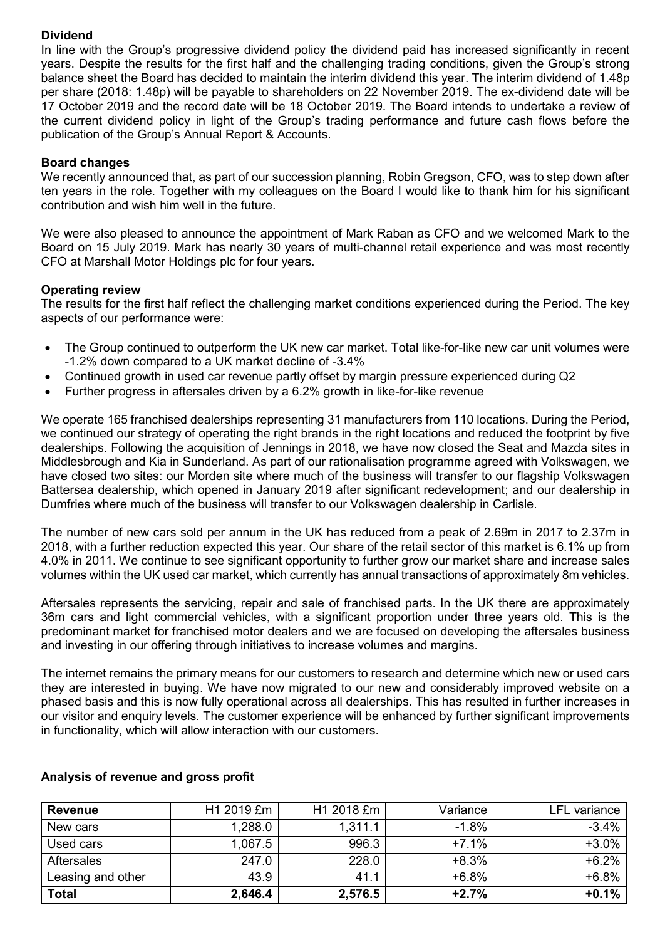### **Dividend**

In line with the Group's progressive dividend policy the dividend paid has increased significantly in recent years. Despite the results for the first half and the challenging trading conditions, given the Group's strong balance sheet the Board has decided to maintain the interim dividend this year. The interim dividend of 1.48p per share (2018: 1.48p) will be payable to shareholders on 22 November 2019. The ex-dividend date will be 17 October 2019 and the record date will be 18 October 2019. The Board intends to undertake a review of the current dividend policy in light of the Group's trading performance and future cash flows before the publication of the Group's Annual Report & Accounts.

## **Board changes**

We recently announced that, as part of our succession planning, Robin Gregson, CFO, was to step down after ten years in the role. Together with my colleagues on the Board I would like to thank him for his significant contribution and wish him well in the future.

We were also pleased to announce the appointment of Mark Raban as CFO and we welcomed Mark to the Board on 15 July 2019. Mark has nearly 30 years of multi-channel retail experience and was most recently CFO at Marshall Motor Holdings plc for four years.

## **Operating review**

The results for the first half reflect the challenging market conditions experienced during the Period. The key aspects of our performance were:

- The Group continued to outperform the UK new car market. Total like-for-like new car unit volumes were -1.2% down compared to a UK market decline of -3.4%
- Continued growth in used car revenue partly offset by margin pressure experienced during Q2
- Further progress in aftersales driven by a 6.2% growth in like-for-like revenue

We operate 165 franchised dealerships representing 31 manufacturers from 110 locations. During the Period, we continued our strategy of operating the right brands in the right locations and reduced the footprint by five dealerships. Following the acquisition of Jennings in 2018, we have now closed the Seat and Mazda sites in Middlesbrough and Kia in Sunderland. As part of our rationalisation programme agreed with Volkswagen, we have closed two sites: our Morden site where much of the business will transfer to our flagship Volkswagen Battersea dealership, which opened in January 2019 after significant redevelopment; and our dealership in Dumfries where much of the business will transfer to our Volkswagen dealership in Carlisle.

The number of new cars sold per annum in the UK has reduced from a peak of 2.69m in 2017 to 2.37m in 2018, with a further reduction expected this year. Our share of the retail sector of this market is 6.1% up from 4.0% in 2011. We continue to see significant opportunity to further grow our market share and increase sales volumes within the UK used car market, which currently has annual transactions of approximately 8m vehicles.

Aftersales represents the servicing, repair and sale of franchised parts. In the UK there are approximately 36m cars and light commercial vehicles, with a significant proportion under three years old. This is the predominant market for franchised motor dealers and we are focused on developing the aftersales business and investing in our offering through initiatives to increase volumes and margins.

The internet remains the primary means for our customers to research and determine which new or used cars they are interested in buying. We have now migrated to our new and considerably improved website on a phased basis and this is now fully operational across all dealerships. This has resulted in further increases in our visitor and enquiry levels. The customer experience will be enhanced by further significant improvements in functionality, which will allow interaction with our customers.

| <b>Revenue</b>    | H1 2019 £m | H1 2018 £m | Variance | LFL variance |
|-------------------|------------|------------|----------|--------------|
| New cars          | 1,288.0    | 1,311.1    | $-1.8%$  | $-3.4%$      |
| Used cars         | 1.067.5    | 996.3      | $+7.1%$  | $+3.0%$      |
| <b>Aftersales</b> | 247.0      | 228.0      | $+8.3%$  | $+6.2%$      |
| Leasing and other | 43.9       | 41.1       | $+6.8%$  | $+6.8%$      |
| <b>Total</b>      | 2,646.4    | 2,576.5    | $+2.7%$  | $+0.1%$      |

## **Analysis of revenue and gross profit**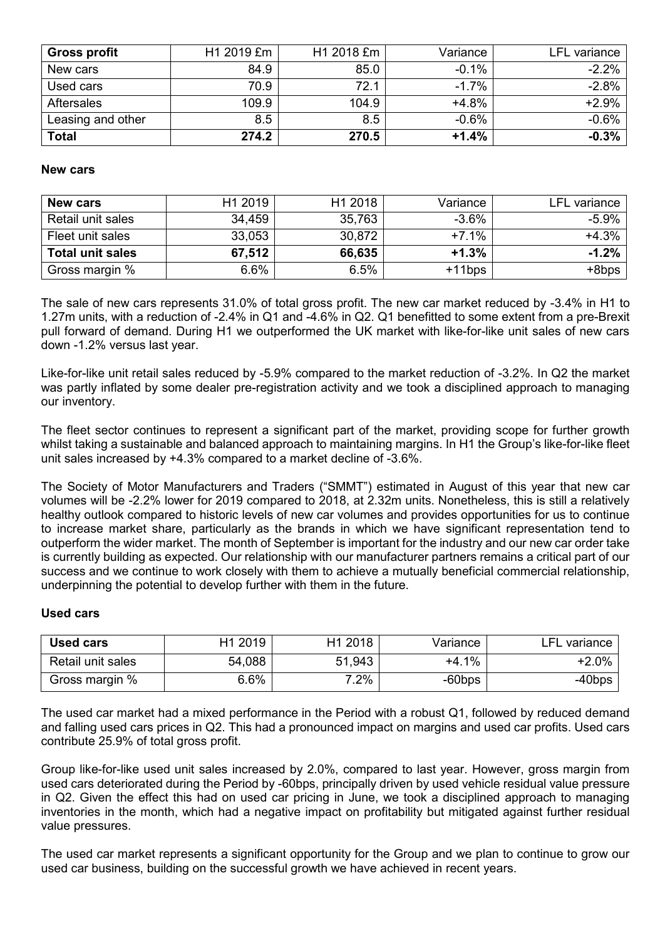| Gross profit      | H1 2019 £m | H1 2018 £m | Variance | LFL variance |
|-------------------|------------|------------|----------|--------------|
| New cars          | 84.9       | 85.0       | $-0.1%$  | $-2.2%$      |
| Used cars         | 70.9       | 72.1       | $-1.7%$  | $-2.8%$      |
| <b>Aftersales</b> | 109.9      | 104.9      | $+4.8%$  | $+2.9%$      |
| Leasing and other | 8.5        | 8.5        | $-0.6%$  | $-0.6%$      |
| <b>Total</b>      | 274.2      | 270.5      | $+1.4%$  | $-0.3%$      |

#### **New cars**

| <b>New cars</b>         | H1 2019 | H1 2018 | Variance  | LFL variance |
|-------------------------|---------|---------|-----------|--------------|
| Retail unit sales       | 34,459  | 35,763  | $-3.6%$   | $-5.9%$      |
| Fleet unit sales        | 33,053  | 30,872  | $+7.1%$   | $+4.3%$      |
| <b>Total unit sales</b> | 67,512  | 66,635  | $+1.3%$   | $-1.2%$      |
| Gross margin %          | 6.6%    | 6.5%    | $+11$ bps | +8bps        |

The sale of new cars represents 31.0% of total gross profit. The new car market reduced by -3.4% in H1 to 1.27m units, with a reduction of -2.4% in Q1 and -4.6% in Q2. Q1 benefitted to some extent from a pre-Brexit pull forward of demand. During H1 we outperformed the UK market with like-for-like unit sales of new cars down -1.2% versus last year.

Like-for-like unit retail sales reduced by -5.9% compared to the market reduction of -3.2%. In Q2 the market was partly inflated by some dealer pre-registration activity and we took a disciplined approach to managing our inventory.

The fleet sector continues to represent a significant part of the market, providing scope for further growth whilst taking a sustainable and balanced approach to maintaining margins. In H1 the Group's like-for-like fleet unit sales increased by +4.3% compared to a market decline of -3.6%.

The Society of Motor Manufacturers and Traders ("SMMT") estimated in August of this year that new car volumes will be -2.2% lower for 2019 compared to 2018, at 2.32m units. Nonetheless, this is still a relatively healthy outlook compared to historic levels of new car volumes and provides opportunities for us to continue to increase market share, particularly as the brands in which we have significant representation tend to outperform the wider market. The month of September is important for the industry and our new car order take is currently building as expected. Our relationship with our manufacturer partners remains a critical part of our success and we continue to work closely with them to achieve a mutually beneficial commercial relationship, underpinning the potential to develop further with them in the future.

### **Used cars**

| <b>Used cars</b>         | H1 2019 | H <sub>1</sub> 2018 | Variance  | ∟FL variance |
|--------------------------|---------|---------------------|-----------|--------------|
| <b>Retail unit sales</b> | 54,088  | 51,943              | $+4.1%$   | $+2.0%$      |
| Gross margin %           | 6.6%    | $2\%$               | $-60$ bps | $-40$ bps    |

The used car market had a mixed performance in the Period with a robust Q1, followed by reduced demand and falling used cars prices in Q2. This had a pronounced impact on margins and used car profits. Used cars contribute 25.9% of total gross profit.

Group like-for-like used unit sales increased by 2.0%, compared to last year. However, gross margin from used cars deteriorated during the Period by -60bps, principally driven by used vehicle residual value pressure in Q2. Given the effect this had on used car pricing in June, we took a disciplined approach to managing inventories in the month, which had a negative impact on profitability but mitigated against further residual value pressures.

The used car market represents a significant opportunity for the Group and we plan to continue to grow our used car business, building on the successful growth we have achieved in recent years.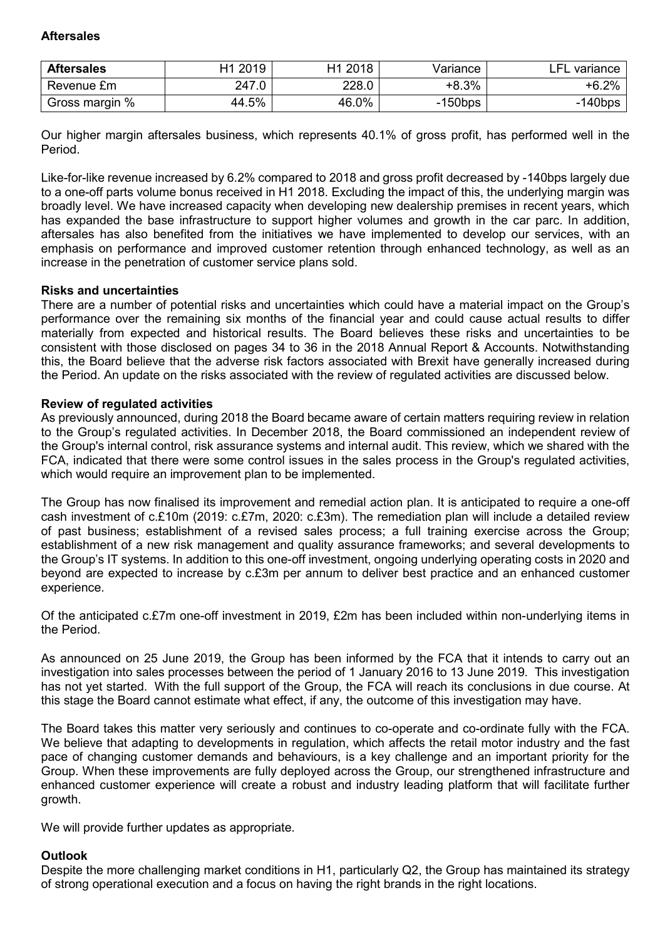### **Aftersales**

| <b>Aftersales</b> | H1 2019 | 2018<br>Η1 | Variance   | _FI<br>variance |
|-------------------|---------|------------|------------|-----------------|
| Revenue £m        | 247.0   | 228.0      | $+8.3%$    | $+6.2%$         |
| Gross margin %    | 44.5%   | 46.0%      | $-150$ bps | $-140$ bps      |

Our higher margin aftersales business, which represents 40.1% of gross profit, has performed well in the Period.

Like-for-like revenue increased by 6.2% compared to 2018 and gross profit decreased by -140bps largely due to a one-off parts volume bonus received in H1 2018. Excluding the impact of this, the underlying margin was broadly level. We have increased capacity when developing new dealership premises in recent years, which has expanded the base infrastructure to support higher volumes and growth in the car parc. In addition, aftersales has also benefited from the initiatives we have implemented to develop our services, with an emphasis on performance and improved customer retention through enhanced technology, as well as an increase in the penetration of customer service plans sold.

### **Risks and uncertainties**

There are a number of potential risks and uncertainties which could have a material impact on the Group's performance over the remaining six months of the financial year and could cause actual results to differ materially from expected and historical results. The Board believes these risks and uncertainties to be consistent with those disclosed on pages 34 to 36 in the 2018 Annual Report & Accounts. Notwithstanding this, the Board believe that the adverse risk factors associated with Brexit have generally increased during the Period. An update on the risks associated with the review of regulated activities are discussed below.

#### **Review of regulated activities**

As previously announced, during 2018 the Board became aware of certain matters requiring review in relation to the Group's regulated activities. In December 2018, the Board commissioned an independent review of the Group's internal control, risk assurance systems and internal audit. This review, which we shared with the FCA, indicated that there were some control issues in the sales process in the Group's regulated activities, which would require an improvement plan to be implemented.

The Group has now finalised its improvement and remedial action plan. It is anticipated to require a one-off cash investment of c.£10m (2019: c.£7m, 2020: c.£3m). The remediation plan will include a detailed review of past business; establishment of a revised sales process; a full training exercise across the Group; establishment of a new risk management and quality assurance frameworks; and several developments to the Group's IT systems. In addition to this one-off investment, ongoing underlying operating costs in 2020 and beyond are expected to increase by c.£3m per annum to deliver best practice and an enhanced customer experience.

Of the anticipated c.£7m one-off investment in 2019, £2m has been included within non-underlying items in the Period.

As announced on 25 June 2019, the Group has been informed by the FCA that it intends to carry out an investigation into sales processes between the period of 1 January 2016 to 13 June 2019. This investigation has not yet started. With the full support of the Group, the FCA will reach its conclusions in due course. At this stage the Board cannot estimate what effect, if any, the outcome of this investigation may have.

The Board takes this matter very seriously and continues to co-operate and co-ordinate fully with the FCA. We believe that adapting to developments in regulation, which affects the retail motor industry and the fast pace of changing customer demands and behaviours, is a key challenge and an important priority for the Group. When these improvements are fully deployed across the Group, our strengthened infrastructure and enhanced customer experience will create a robust and industry leading platform that will facilitate further growth.

We will provide further updates as appropriate.

### **Outlook**

Despite the more challenging market conditions in H1, particularly Q2, the Group has maintained its strategy of strong operational execution and a focus on having the right brands in the right locations.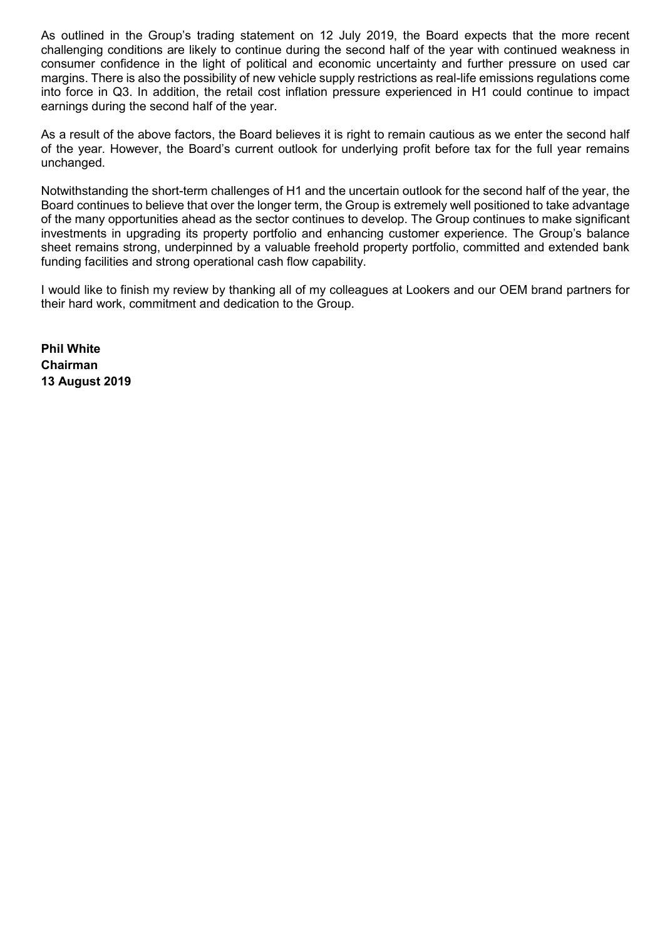As outlined in the Group's trading statement on 12 July 2019, the Board expects that the more recent challenging conditions are likely to continue during the second half of the year with continued weakness in consumer confidence in the light of political and economic uncertainty and further pressure on used car margins. There is also the possibility of new vehicle supply restrictions as real-life emissions regulations come into force in Q3. In addition, the retail cost inflation pressure experienced in H1 could continue to impact earnings during the second half of the year.

As a result of the above factors, the Board believes it is right to remain cautious as we enter the second half of the year. However, the Board's current outlook for underlying profit before tax for the full year remains unchanged.

Notwithstanding the short-term challenges of H1 and the uncertain outlook for the second half of the year, the Board continues to believe that over the longer term, the Group is extremely well positioned to take advantage of the many opportunities ahead as the sector continues to develop. The Group continues to make significant investments in upgrading its property portfolio and enhancing customer experience. The Group's balance sheet remains strong, underpinned by a valuable freehold property portfolio, committed and extended bank funding facilities and strong operational cash flow capability.

I would like to finish my review by thanking all of my colleagues at Lookers and our OEM brand partners for their hard work, commitment and dedication to the Group.

**Phil White Chairman 13 August 2019**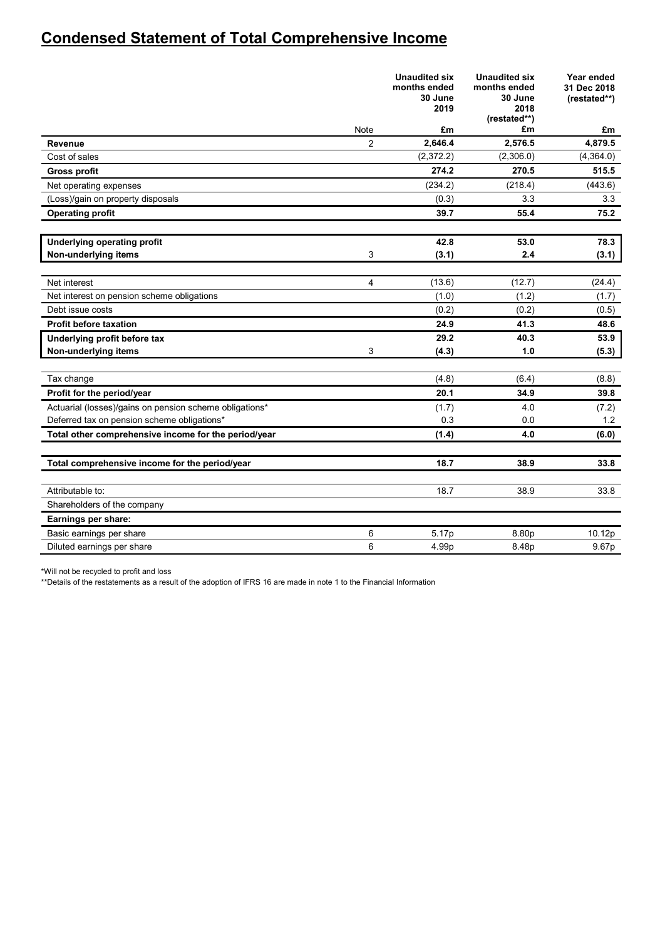## **Condensed Statement of Total Comprehensive Income**

|                                                         |                | <b>Unaudited six</b><br>months ended<br>30 June<br>2019 | <b>Unaudited six</b><br>months ended<br>30 June<br>2018<br>(restated**) | Year ended<br>31 Dec 2018<br>(restated**) |
|---------------------------------------------------------|----------------|---------------------------------------------------------|-------------------------------------------------------------------------|-------------------------------------------|
|                                                         | Note           | £m                                                      | £m                                                                      | £m                                        |
| Revenue                                                 | $\overline{2}$ | 2,646.4                                                 | 2,576.5                                                                 | 4,879.5                                   |
| Cost of sales                                           |                | (2,372.2)                                               | (2,306.0)                                                               | (4,364.0)                                 |
| <b>Gross profit</b>                                     |                | 274.2                                                   | 270.5                                                                   | 515.5                                     |
| Net operating expenses                                  |                | (234.2)                                                 | (218.4)                                                                 | (443.6)                                   |
| (Loss)/gain on property disposals                       |                | (0.3)                                                   | 3.3                                                                     | 3.3                                       |
| <b>Operating profit</b>                                 |                | 39.7                                                    | 55.4                                                                    | 75.2                                      |
|                                                         |                |                                                         |                                                                         |                                           |
| <b>Underlying operating profit</b>                      |                | 42.8                                                    | 53.0                                                                    | 78.3                                      |
| Non-underlying items                                    | 3              | (3.1)                                                   | 2.4                                                                     | (3.1)                                     |
| Net interest                                            | $\overline{4}$ | (13.6)                                                  | (12.7)                                                                  | (24.4)                                    |
| Net interest on pension scheme obligations              |                | (1.0)                                                   | (1.2)                                                                   | (1.7)                                     |
| Debt issue costs                                        |                | (0.2)                                                   | (0.2)                                                                   | (0.5)                                     |
| <b>Profit before taxation</b>                           |                | 24.9                                                    | 41.3                                                                    | 48.6                                      |
| Underlying profit before tax                            |                | 29.2                                                    | 40.3                                                                    | 53.9                                      |
| Non-underlying items                                    | 3              | (4.3)                                                   | 1.0                                                                     | (5.3)                                     |
|                                                         |                |                                                         |                                                                         |                                           |
| Tax change                                              |                | (4.8)                                                   | (6.4)                                                                   | (8.8)                                     |
| Profit for the period/year                              |                | 20.1                                                    | 34.9                                                                    | 39.8                                      |
| Actuarial (losses)/gains on pension scheme obligations* |                | (1.7)                                                   | 4.0                                                                     | (7.2)                                     |
| Deferred tax on pension scheme obligations*             |                | 0.3                                                     | 0.0                                                                     | 1.2                                       |
| Total other comprehensive income for the period/year    |                | (1.4)                                                   | 4.0                                                                     | (6.0)                                     |
|                                                         |                |                                                         |                                                                         |                                           |
| Total comprehensive income for the period/year          |                | 18.7                                                    | 38.9                                                                    | 33.8                                      |
| Attributable to:                                        |                | 18.7                                                    | 38.9                                                                    | 33.8                                      |
| Shareholders of the company                             |                |                                                         |                                                                         |                                           |
| Earnings per share:                                     |                |                                                         |                                                                         |                                           |
| Basic earnings per share                                | 6              | 5.17p                                                   | 8.80p                                                                   | 10.12p                                    |
| Diluted earnings per share                              | 6              | 4.99p                                                   | 8.48p                                                                   | 9.67p                                     |

\*Will not be recycled to profit and loss

\*\*Details of the restatements as a result of the adoption of IFRS 16 are made in note 1 to the Financial Information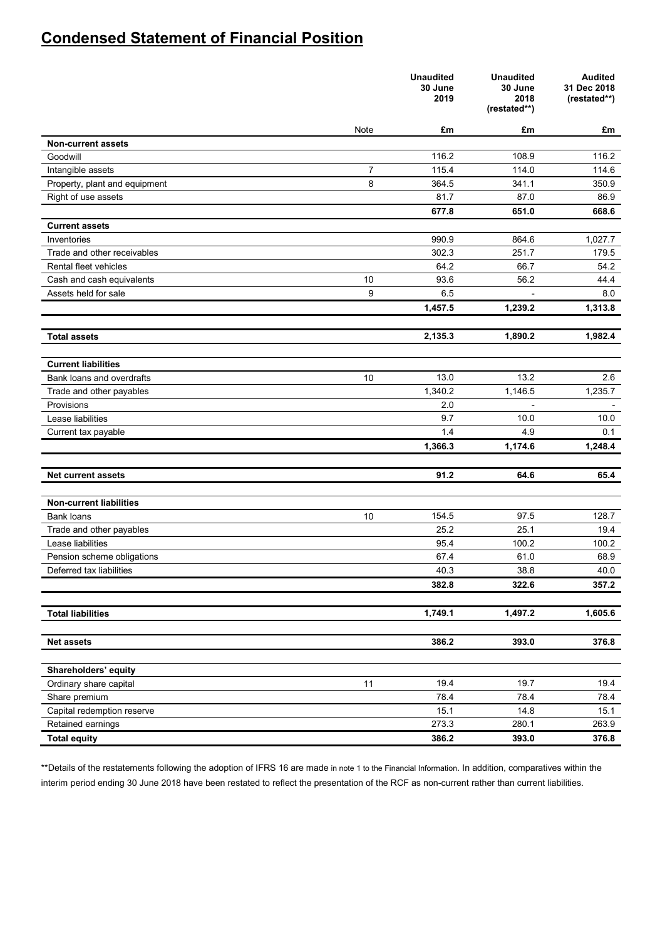## **Condensed Statement of Financial Position**

|                                |      | <b>Unaudited</b><br>30 June<br>2019 | <b>Unaudited</b><br>30 June<br>2018<br>(restated**) | <b>Audited</b><br>31 Dec 2018<br>(restated**) |
|--------------------------------|------|-------------------------------------|-----------------------------------------------------|-----------------------------------------------|
|                                | Note | £m                                  | £m                                                  | £m                                            |
| <b>Non-current assets</b>      |      |                                     |                                                     |                                               |
| Goodwill                       |      | 116.2                               | 108.9                                               | 116.2                                         |
| Intangible assets              | 7    | 115.4                               | 114.0                                               | 114.6                                         |
| Property, plant and equipment  | 8    | 364.5                               | 341.1                                               | 350.9                                         |
| Right of use assets            |      | 81.7                                | 87.0                                                | 86.9                                          |
|                                |      | 677.8                               | 651.0                                               | 668.6                                         |
| <b>Current assets</b>          |      |                                     |                                                     |                                               |
| Inventories                    |      | 990.9                               | 864.6                                               | 1,027.7                                       |
| Trade and other receivables    |      | 302.3                               | 251.7                                               | 179.5                                         |
| Rental fleet vehicles          |      | 64.2                                | 66.7                                                | 54.2                                          |
| Cash and cash equivalents      | 10   | 93.6                                | 56.2                                                | 44.4                                          |
| Assets held for sale           | 9    | 6.5                                 |                                                     | 8.0                                           |
|                                |      | 1,457.5                             | 1,239.2                                             | 1,313.8                                       |
| <b>Total assets</b>            |      | 2,135.3                             | 1,890.2                                             | 1,982.4                                       |
|                                |      |                                     |                                                     |                                               |
| <b>Current liabilities</b>     |      |                                     |                                                     |                                               |
| Bank loans and overdrafts      | 10   | 13.0                                | 13.2                                                | 2.6                                           |
| Trade and other payables       |      | 1,340.2                             | 1,146.5                                             | 1,235.7                                       |
| Provisions                     |      | 2.0                                 |                                                     |                                               |
| Lease liabilities              |      | 9.7                                 | 10.0                                                | 10.0                                          |
| Current tax payable            |      | 1.4                                 | 4.9                                                 | 0.1                                           |
|                                |      | 1,366.3                             | 1,174.6                                             | 1,248.4                                       |
| <b>Net current assets</b>      |      | 91.2                                | 64.6                                                | 65.4                                          |
|                                |      |                                     |                                                     |                                               |
| <b>Non-current liabilities</b> |      |                                     |                                                     |                                               |
| Bank loans                     | 10   | 154.5                               | 97.5                                                | 128.7                                         |
| Trade and other payables       |      | 25.2                                | 25.1                                                | 19.4                                          |
| Lease liabilities              |      | 95.4                                | 100.2                                               | 100.2                                         |
| Pension scheme obligations     |      | 67.4                                | 61.0                                                | 68.9                                          |
| Deferred tax liabilities       |      | 40.3                                | 38.8                                                | 40.0                                          |
|                                |      | 382.8                               | 322.6                                               | 357.2                                         |
| <b>Total liabilities</b>       |      |                                     | 1,497.2                                             | 1,605.6                                       |
|                                |      | 1,749.1                             |                                                     |                                               |
| <b>Net assets</b>              |      | 386.2                               | 393.0                                               | 376.8                                         |
|                                |      |                                     |                                                     |                                               |
| Shareholders' equity           |      |                                     |                                                     |                                               |
| Ordinary share capital         | 11   | 19.4                                | 19.7                                                | 19.4                                          |
| Share premium                  |      | 78.4                                | 78.4                                                | 78.4                                          |
| Capital redemption reserve     |      | 15.1                                | 14.8                                                | 15.1                                          |
| Retained earnings              |      | 273.3                               | 280.1                                               | 263.9                                         |
| <b>Total equity</b>            |      | 386.2                               | 393.0                                               | 376.8                                         |

\*\*Details of the restatements following the adoption of IFRS 16 are made in note 1 to the Financial Information. In addition, comparatives within the interim period ending 30 June 2018 have been restated to reflect the presentation of the RCF as non-current rather than current liabilities.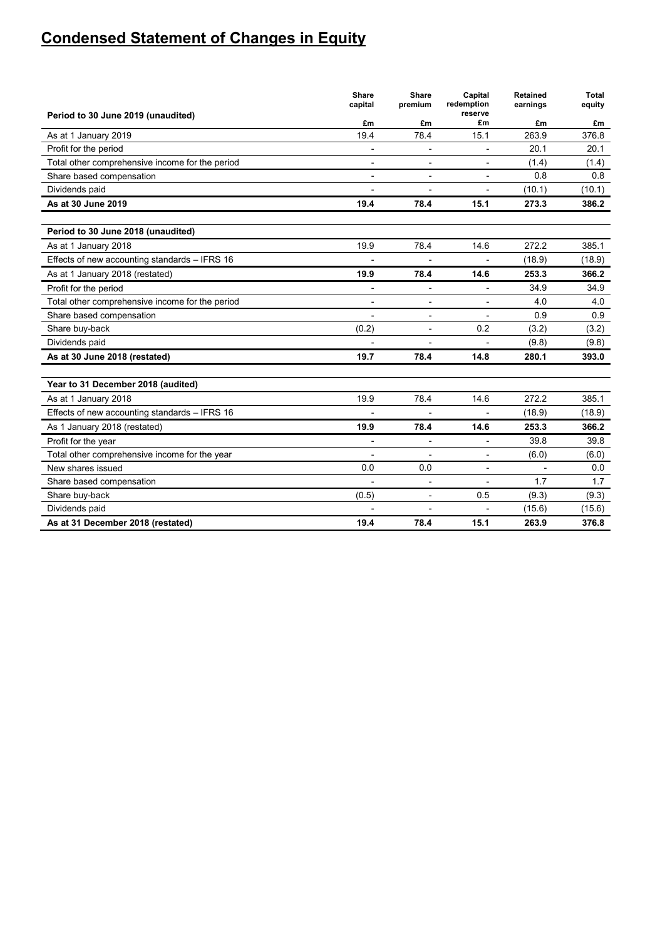# **Condensed Statement of Changes in Equity**

|                                                 | <b>Share</b><br>capital | Share<br>premium         | Capital<br>redemption    | Retained<br>earnings | <b>Total</b><br>equity |
|-------------------------------------------------|-------------------------|--------------------------|--------------------------|----------------------|------------------------|
| Period to 30 June 2019 (unaudited)              | £m                      | £m                       | reserve<br>£m            | £m                   | £m                     |
| As at 1 January 2019                            | 19.4                    | 78.4                     | 15.1                     | 263.9                | 376.8                  |
| Profit for the period                           |                         | ÷                        | ۰                        | 20.1                 | 20.1                   |
| Total other comprehensive income for the period | $\blacksquare$          |                          | $\overline{\phantom{0}}$ | (1.4)                | (1.4)                  |
| Share based compensation                        |                         |                          |                          | 0.8                  | 0.8                    |
| Dividends paid                                  | $\blacksquare$          | Ĭ.                       | $\overline{\phantom{a}}$ | (10.1)               | (10.1)                 |
| As at 30 June 2019                              | 19.4                    | 78.4                     | 15.1                     | 273.3                | 386.2                  |
|                                                 |                         |                          |                          |                      |                        |
| Period to 30 June 2018 (unaudited)              |                         |                          |                          |                      |                        |
| As at 1 January 2018                            | 19.9                    | 78.4                     | 14.6                     | 272.2                | 385.1                  |
| Effects of new accounting standards - IFRS 16   |                         |                          |                          | (18.9)               | (18.9)                 |
| As at 1 January 2018 (restated)                 | 19.9                    | 78.4                     | 14.6                     | 253.3                | 366.2                  |
| Profit for the period                           |                         |                          |                          | 34.9                 | 34.9                   |
| Total other comprehensive income for the period | $\overline{a}$          | $\overline{\phantom{a}}$ | $\overline{\phantom{a}}$ | 4.0                  | 4.0                    |
| Share based compensation                        |                         |                          |                          | 0.9                  | 0.9                    |
| Share buy-back                                  | (0.2)                   | $\blacksquare$           | 0.2                      | (3.2)                | (3.2)                  |
| Dividends paid                                  |                         |                          | $\blacksquare$           | (9.8)                | (9.8)                  |
| As at 30 June 2018 (restated)                   | 19.7                    | 78.4                     | 14.8                     | 280.1                | 393.0                  |
| Year to 31 December 2018 (audited)              |                         |                          |                          |                      |                        |
| As at 1 January 2018                            | 19.9                    | 78.4                     | 14.6                     | 272.2                | 385.1                  |
| Effects of new accounting standards - IFRS 16   |                         |                          |                          | (18.9)               | (18.9)                 |
| As 1 January 2018 (restated)                    | 19.9                    | 78.4                     | 14.6                     | 253.3                | 366.2                  |
| Profit for the year                             | $\blacksquare$          | $\overline{a}$           | L,                       | 39.8                 | 39.8                   |
| Total other comprehensive income for the year   | $\overline{a}$          |                          | $\overline{\phantom{a}}$ | (6.0)                | (6.0)                  |
| New shares issued                               | 0.0                     | 0.0                      | $\overline{\phantom{a}}$ |                      | 0.0                    |
| Share based compensation                        |                         | $\overline{\phantom{a}}$ | $\overline{a}$           | 1.7                  | 1.7                    |
| Share buy-back                                  | (0.5)                   | ÷,                       | 0.5                      | (9.3)                | (9.3)                  |
| Dividends paid                                  |                         | $\overline{a}$           | $\overline{a}$           | (15.6)               | (15.6)                 |
| As at 31 December 2018 (restated)               | 19.4                    | 78.4                     | 15.1                     | 263.9                | 376.8                  |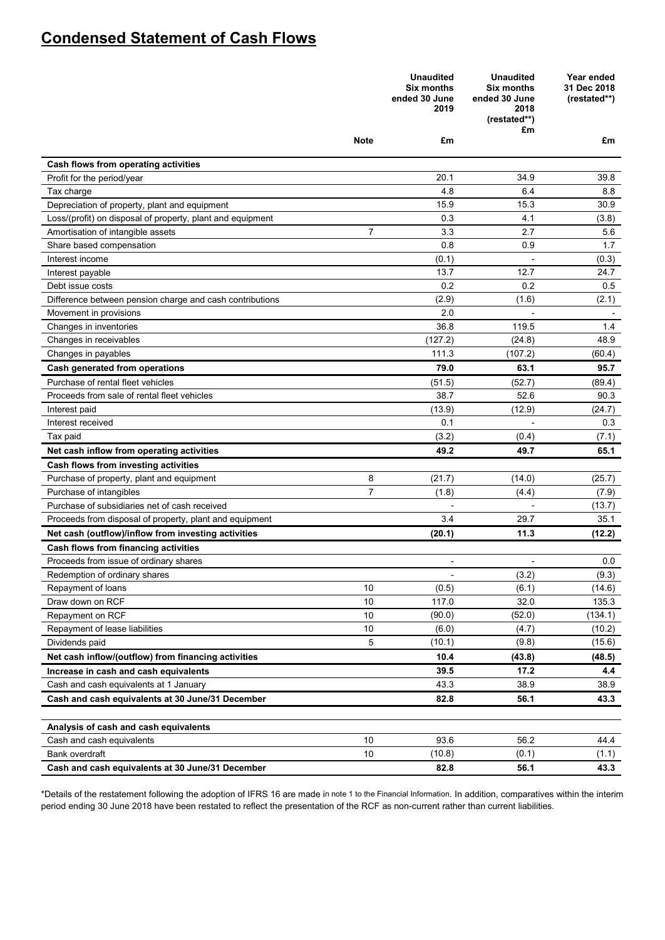## **Condensed Statement of Cash Flows**

|                                                            |                | <b>Unaudited</b><br><b>Six months</b><br>ended 30 June<br>2019 | <b>Unaudited</b><br><b>Six months</b><br>ended 30 June<br>2018<br>(restated**)<br>£m | Year ended<br>31 Dec 2018<br>(restated**) |
|------------------------------------------------------------|----------------|----------------------------------------------------------------|--------------------------------------------------------------------------------------|-------------------------------------------|
|                                                            | Note           | £m                                                             |                                                                                      | £m                                        |
| Cash flows from operating activities                       |                |                                                                |                                                                                      |                                           |
| Profit for the period/year                                 |                | 20.1                                                           | 34.9                                                                                 | 39.8                                      |
| Tax charge                                                 |                | 4.8                                                            | 6.4                                                                                  | 8.8                                       |
| Depreciation of property, plant and equipment              |                | 15.9                                                           | 15.3                                                                                 | 30.9                                      |
| Loss/(profit) on disposal of property, plant and equipment |                | 0.3                                                            | 4.1                                                                                  | (3.8)                                     |
| Amortisation of intangible assets                          | $\overline{7}$ | 3.3                                                            | 2.7                                                                                  | 5.6                                       |
| Share based compensation                                   |                | 0.8                                                            | 0.9                                                                                  | 1.7                                       |
| Interest income                                            |                | (0.1)                                                          |                                                                                      | (0.3)                                     |
| Interest payable                                           |                | 13.7                                                           | 12.7                                                                                 | 24.7                                      |
| Debt issue costs                                           |                | 0.2                                                            | 0.2                                                                                  | 0.5                                       |
| Difference between pension charge and cash contributions   |                | (2.9)                                                          | (1.6)                                                                                | (2.1)                                     |
| Movement in provisions                                     |                | 2.0                                                            |                                                                                      |                                           |
| Changes in inventories                                     |                | 36.8                                                           | 119.5                                                                                | 1.4                                       |
| Changes in receivables                                     |                | (127.2)                                                        | (24.8)                                                                               | 48.9                                      |
| Changes in payables                                        |                | 111.3                                                          | (107.2)                                                                              | (60.4)                                    |
| Cash generated from operations                             |                | 79.0                                                           | 63.1                                                                                 | 95.7                                      |
| Purchase of rental fleet vehicles                          |                | (51.5)                                                         | (52.7)                                                                               | (89.4)                                    |
| Proceeds from sale of rental fleet vehicles                |                | 38.7                                                           | 52.6                                                                                 | 90.3                                      |
| Interest paid                                              |                | (13.9)                                                         | (12.9)                                                                               | (24.7)                                    |
| Interest received                                          |                | 0.1                                                            | Ĭ.                                                                                   | 0.3                                       |
| Tax paid                                                   |                | (3.2)                                                          | (0.4)                                                                                | (7.1)                                     |
| Net cash inflow from operating activities                  |                | 49.2                                                           | 49.7                                                                                 | 65.1                                      |
| Cash flows from investing activities                       |                |                                                                |                                                                                      |                                           |
| Purchase of property, plant and equipment                  | 8              | (21.7)                                                         | (14.0)                                                                               | (25.7)                                    |
| Purchase of intangibles                                    | $\overline{7}$ | (1.8)                                                          | (4.4)                                                                                | (7.9)                                     |
| Purchase of subsidiaries net of cash received              |                |                                                                |                                                                                      | (13.7)                                    |
| Proceeds from disposal of property, plant and equipment    |                | 3.4                                                            | 29.7                                                                                 | 35.1                                      |
| Net cash (outflow)/inflow from investing activities        |                | (20.1)                                                         | 11.3                                                                                 | (12.2)                                    |
| Cash flows from financing activities                       |                |                                                                |                                                                                      |                                           |
| Proceeds from issue of ordinary shares                     |                | $\blacksquare$                                                 | $\overline{a}$                                                                       | 0.0                                       |
| Redemption of ordinary shares                              |                |                                                                | (3.2)                                                                                | (9.3)                                     |
| Repayment of loans                                         | 10             | (0.5)                                                          | (6.1)                                                                                | (14.6)                                    |
| Draw down on RCF                                           | 10             | 117.0                                                          | 32.0                                                                                 | 135.3                                     |
| Repayment on RCF                                           | 10             | (90.0)                                                         | (52.0)                                                                               | (134.1)                                   |
| Repayment of lease liabilities                             | 10             | (6.0)                                                          | (4.7)                                                                                | (10.2)                                    |
| Dividends paid                                             | 5              | (10.1)                                                         | (9.8)                                                                                | (15.6)                                    |
| Net cash inflow/(outflow) from financing activities        |                | 10.4                                                           | (43.8)                                                                               | (48.5)                                    |
| Increase in cash and cash equivalents                      |                | 39.5                                                           | 17.2                                                                                 | 4.4                                       |
| Cash and cash equivalents at 1 January                     |                | 43.3                                                           | 38.9                                                                                 | 38.9                                      |
| Cash and cash equivalents at 30 June/31 December           |                | 82.8                                                           | 56.1                                                                                 | 43.3                                      |
| Analysis of cash and cash equivalents                      |                |                                                                |                                                                                      |                                           |
| Cash and cash equivalents                                  | 10             | 93.6                                                           | 56.2                                                                                 | 44.4                                      |
| Bank overdraft                                             | 10             | (10.8)                                                         | (0.1)                                                                                | (1.1)                                     |
| Cash and cash equivalents at 30 June/31 December           |                | 82.8                                                           | 56.1                                                                                 | 43.3                                      |

\*Details of the restatement following the adoption of IFRS 16 are made in note 1 to the Financial Information. In addition, comparatives within the interim period ending 30 June 2018 have been restated to reflect the presentation of the RCF as non-current rather than current liabilities.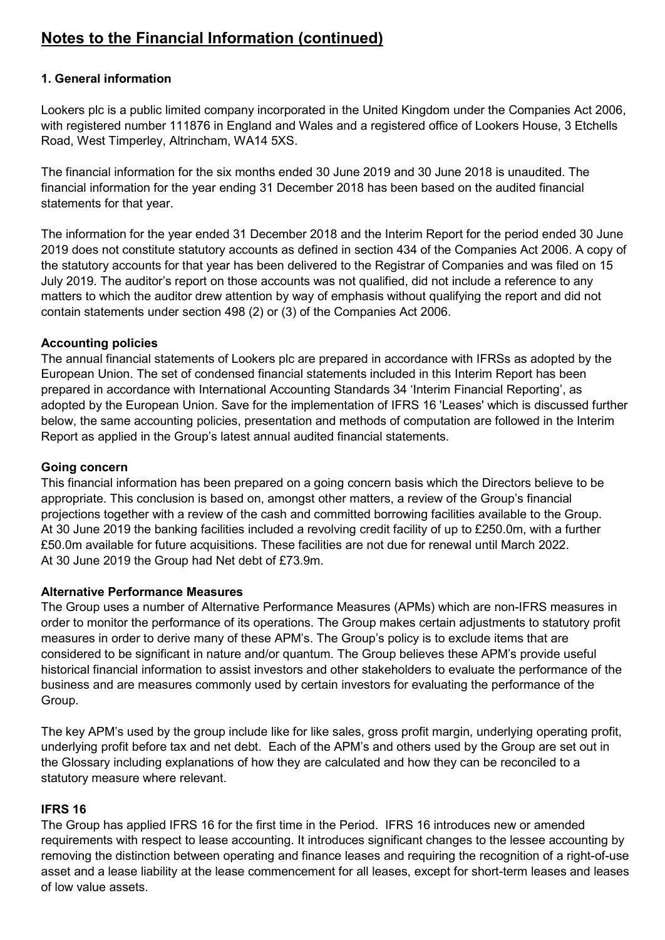## **1. General information**

Lookers plc is a public limited company incorporated in the United Kingdom under the Companies Act 2006, with registered number 111876 in England and Wales and a registered office of Lookers House, 3 Etchells Road, West Timperley, Altrincham, WA14 5XS.

The financial information for the six months ended 30 June 2019 and 30 June 2018 is unaudited. The financial information for the year ending 31 December 2018 has been based on the audited financial statements for that year.

The information for the year ended 31 December 2018 and the Interim Report for the period ended 30 June 2019 does not constitute statutory accounts as defined in section 434 of the Companies Act 2006. A copy of the statutory accounts for that year has been delivered to the Registrar of Companies and was filed on 15 July 2019. The auditor's report on those accounts was not qualified, did not include a reference to any matters to which the auditor drew attention by way of emphasis without qualifying the report and did not contain statements under section 498 (2) or (3) of the Companies Act 2006.

## **Accounting policies**

The annual financial statements of Lookers plc are prepared in accordance with IFRSs as adopted by the European Union. The set of condensed financial statements included in this Interim Report has been prepared in accordance with International Accounting Standards 34 'Interim Financial Reporting', as adopted by the European Union. Save for the implementation of IFRS 16 'Leases' which is discussed further below, the same accounting policies, presentation and methods of computation are followed in the Interim Report as applied in the Group's latest annual audited financial statements.

## **Going concern**

This financial information has been prepared on a going concern basis which the Directors believe to be appropriate. This conclusion is based on, amongst other matters, a review of the Group's financial projections together with a review of the cash and committed borrowing facilities available to the Group. At 30 June 2019 the banking facilities included a revolving credit facility of up to £250.0m, with a further £50.0m available for future acquisitions. These facilities are not due for renewal until March 2022. At 30 June 2019 the Group had Net debt of £73.9m.

### **Alternative Performance Measures**

The Group uses a number of Alternative Performance Measures (APMs) which are non-IFRS measures in order to monitor the performance of its operations. The Group makes certain adjustments to statutory profit measures in order to derive many of these APM's. The Group's policy is to exclude items that are considered to be significant in nature and/or quantum. The Group believes these APM's provide useful historical financial information to assist investors and other stakeholders to evaluate the performance of the business and are measures commonly used by certain investors for evaluating the performance of the Group.

The key APM's used by the group include like for like sales, gross profit margin, underlying operating profit, underlying profit before tax and net debt. Each of the APM's and others used by the Group are set out in the Glossary including explanations of how they are calculated and how they can be reconciled to a statutory measure where relevant.

## **IFRS 16**

The Group has applied IFRS 16 for the first time in the Period. IFRS 16 introduces new or amended requirements with respect to lease accounting. It introduces significant changes to the lessee accounting by removing the distinction between operating and finance leases and requiring the recognition of a right-of-use asset and a lease liability at the lease commencement for all leases, except for short-term leases and leases of low value assets.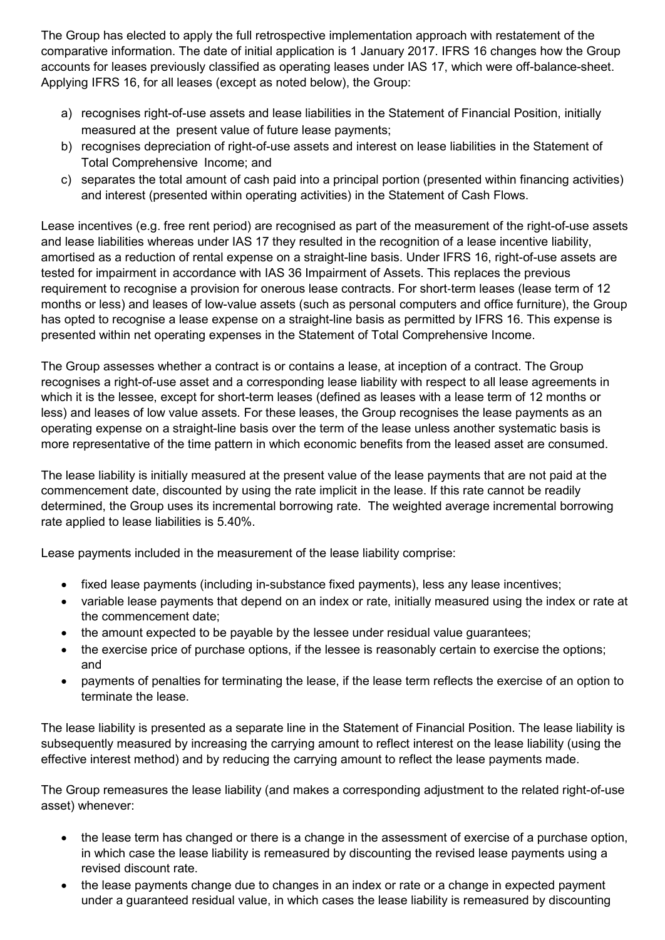The Group has elected to apply the full retrospective implementation approach with restatement of the comparative information. The date of initial application is 1 January 2017. IFRS 16 changes how the Group accounts for leases previously classified as operating leases under IAS 17, which were off-balance-sheet. Applying IFRS 16, for all leases (except as noted below), the Group:

- a) recognises right-of-use assets and lease liabilities in the Statement of Financial Position, initially measured at the present value of future lease payments;
- b) recognises depreciation of right-of-use assets and interest on lease liabilities in the Statement of Total Comprehensive Income; and
- c) separates the total amount of cash paid into a principal portion (presented within financing activities) and interest (presented within operating activities) in the Statement of Cash Flows.

Lease incentives (e.g. free rent period) are recognised as part of the measurement of the right-of-use assets and lease liabilities whereas under IAS 17 they resulted in the recognition of a lease incentive liability, amortised as a reduction of rental expense on a straight-line basis. Under IFRS 16, right-of-use assets are tested for impairment in accordance with IAS 36 Impairment of Assets. This replaces the previous requirement to recognise a provision for onerous lease contracts. For short-term leases (lease term of 12 months or less) and leases of low-value assets (such as personal computers and office furniture), the Group has opted to recognise a lease expense on a straight-line basis as permitted by IFRS 16. This expense is presented within net operating expenses in the Statement of Total Comprehensive Income.

The Group assesses whether a contract is or contains a lease, at inception of a contract. The Group recognises a right-of-use asset and a corresponding lease liability with respect to all lease agreements in which it is the lessee, except for short-term leases (defined as leases with a lease term of 12 months or less) and leases of low value assets. For these leases, the Group recognises the lease payments as an operating expense on a straight-line basis over the term of the lease unless another systematic basis is more representative of the time pattern in which economic benefits from the leased asset are consumed.

The lease liability is initially measured at the present value of the lease payments that are not paid at the commencement date, discounted by using the rate implicit in the lease. If this rate cannot be readily determined, the Group uses its incremental borrowing rate. The weighted average incremental borrowing rate applied to lease liabilities is 5.40%.

Lease payments included in the measurement of the lease liability comprise:

- fixed lease payments (including in-substance fixed payments), less any lease incentives;
- variable lease payments that depend on an index or rate, initially measured using the index or rate at the commencement date;
- the amount expected to be payable by the lessee under residual value guarantees;
- the exercise price of purchase options, if the lessee is reasonably certain to exercise the options; and
- payments of penalties for terminating the lease, if the lease term reflects the exercise of an option to terminate the lease.

The lease liability is presented as a separate line in the Statement of Financial Position. The lease liability is subsequently measured by increasing the carrying amount to reflect interest on the lease liability (using the effective interest method) and by reducing the carrying amount to reflect the lease payments made.

The Group remeasures the lease liability (and makes a corresponding adjustment to the related right-of-use asset) whenever:

- the lease term has changed or there is a change in the assessment of exercise of a purchase option, in which case the lease liability is remeasured by discounting the revised lease payments using a revised discount rate.
- the lease payments change due to changes in an index or rate or a change in expected payment under a guaranteed residual value, in which cases the lease liability is remeasured by discounting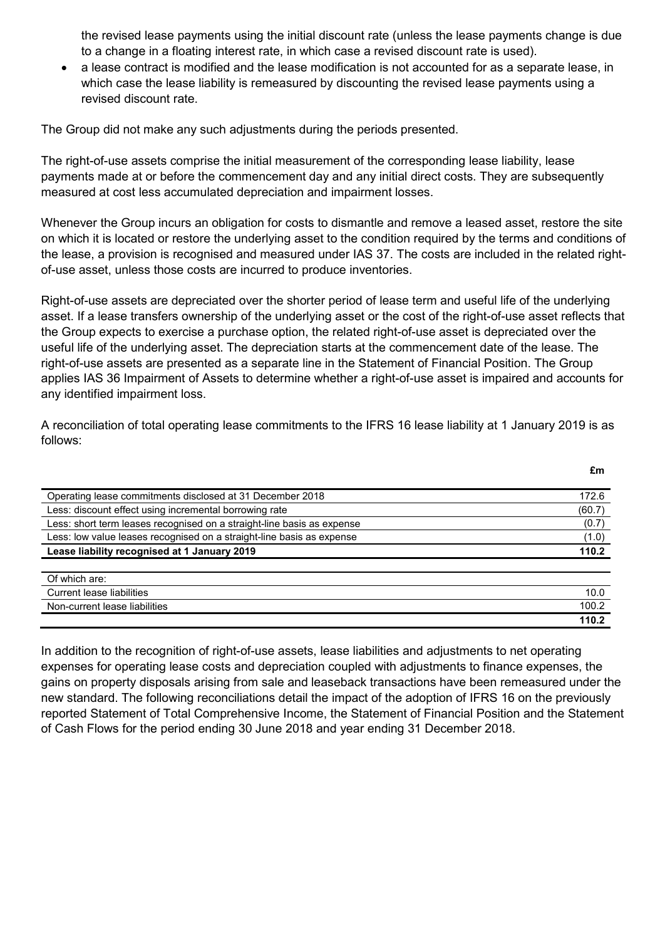the revised lease payments using the initial discount rate (unless the lease payments change is due to a change in a floating interest rate, in which case a revised discount rate is used).

• a lease contract is modified and the lease modification is not accounted for as a separate lease, in which case the lease liability is remeasured by discounting the revised lease payments using a revised discount rate.

The Group did not make any such adjustments during the periods presented.

The right-of-use assets comprise the initial measurement of the corresponding lease liability, lease payments made at or before the commencement day and any initial direct costs. They are subsequently measured at cost less accumulated depreciation and impairment losses.

Whenever the Group incurs an obligation for costs to dismantle and remove a leased asset, restore the site on which it is located or restore the underlying asset to the condition required by the terms and conditions of the lease, a provision is recognised and measured under IAS 37. The costs are included in the related rightof-use asset, unless those costs are incurred to produce inventories.

Right-of-use assets are depreciated over the shorter period of lease term and useful life of the underlying asset. If a lease transfers ownership of the underlying asset or the cost of the right-of-use asset reflects that the Group expects to exercise a purchase option, the related right-of-use asset is depreciated over the useful life of the underlying asset. The depreciation starts at the commencement date of the lease. The right-of-use assets are presented as a separate line in the Statement of Financial Position. The Group applies IAS 36 Impairment of Assets to determine whether a right-of-use asset is impaired and accounts for any identified impairment loss.

A reconciliation of total operating lease commitments to the IFRS 16 lease liability at 1 January 2019 is as follows:

| Operating lease commitments disclosed at 31 December 2018              | 172.6  |
|------------------------------------------------------------------------|--------|
| Less: discount effect using incremental borrowing rate                 | (60.7) |
| Less: short term leases recognised on a straight-line basis as expense | (0.7)  |
| Less: low value leases recognised on a straight-line basis as expense  | (1.0)  |
| Lease liability recognised at 1 January 2019                           | 110.2  |
| Of which are:                                                          |        |
| Current lease liabilities                                              | 10.0   |
| Non-current lease liabilities                                          | 100.2  |
|                                                                        | 110.2  |

In addition to the recognition of right-of-use assets, lease liabilities and adjustments to net operating expenses for operating lease costs and depreciation coupled with adjustments to finance expenses, the gains on property disposals arising from sale and leaseback transactions have been remeasured under the new standard. The following reconciliations detail the impact of the adoption of IFRS 16 on the previously reported Statement of Total Comprehensive Income, the Statement of Financial Position and the Statement of Cash Flows for the period ending 30 June 2018 and year ending 31 December 2018.

**£m**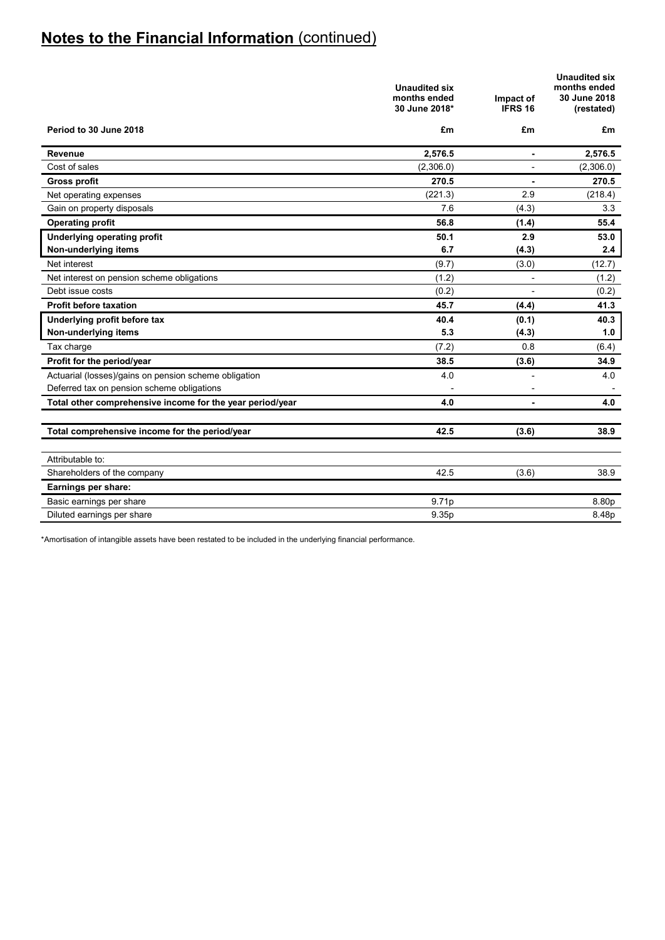|                                                           | <b>Unaudited six</b><br>months ended<br>30 June 2018* | Impact of<br><b>IFRS 16</b> | <b>Unaudited six</b><br>months ended<br>30 June 2018<br>(restated) |
|-----------------------------------------------------------|-------------------------------------------------------|-----------------------------|--------------------------------------------------------------------|
| Period to 30 June 2018                                    | £m                                                    | £m                          | £m                                                                 |
| Revenue                                                   | 2,576.5                                               |                             | 2,576.5                                                            |
| Cost of sales                                             | (2,306.0)                                             |                             | (2,306.0)                                                          |
| <b>Gross profit</b>                                       | 270.5                                                 | $\blacksquare$              | 270.5                                                              |
| Net operating expenses                                    | (221.3)                                               | 2.9                         | (218.4)                                                            |
| Gain on property disposals                                | 7.6                                                   | (4.3)                       | 3.3                                                                |
| <b>Operating profit</b>                                   | 56.8                                                  | (1.4)                       | 55.4                                                               |
| <b>Underlying operating profit</b>                        | 50.1                                                  | 2.9                         | 53.0                                                               |
| Non-underlying items                                      | 6.7                                                   | (4.3)                       | 2.4                                                                |
| Net interest                                              | (9.7)                                                 | (3.0)                       | (12.7)                                                             |
| Net interest on pension scheme obligations                | (1.2)                                                 | -                           | (1.2)                                                              |
| Debt issue costs                                          | (0.2)                                                 | $\overline{a}$              | (0.2)                                                              |
| <b>Profit before taxation</b>                             | 45.7                                                  | (4.4)                       | 41.3                                                               |
| Underlying profit before tax                              | 40.4                                                  | (0.1)                       | 40.3                                                               |
| Non-underlying items                                      | 5.3                                                   | (4.3)                       | 1.0                                                                |
| Tax charge                                                | (7.2)                                                 | 0.8                         | (6.4)                                                              |
| Profit for the period/year                                | 38.5                                                  | (3.6)                       | 34.9                                                               |
| Actuarial (losses)/gains on pension scheme obligation     | 4.0                                                   | $\overline{a}$              | 4.0                                                                |
| Deferred tax on pension scheme obligations                |                                                       |                             |                                                                    |
| Total other comprehensive income for the year period/year | 4.0                                                   |                             | 4.0                                                                |
|                                                           |                                                       |                             |                                                                    |
| Total comprehensive income for the period/year            | 42.5                                                  | (3.6)                       | 38.9                                                               |
| Attributable to:                                          |                                                       |                             |                                                                    |
| Shareholders of the company                               | 42.5                                                  | (3.6)                       | 38.9                                                               |
| Earnings per share:                                       |                                                       |                             |                                                                    |
| Basic earnings per share                                  | 9.71p                                                 |                             | 8.80p                                                              |
|                                                           | 9.35p                                                 |                             | 8.48p                                                              |
| Diluted earnings per share                                |                                                       |                             |                                                                    |

\*Amortisation of intangible assets have been restated to be included in the underlying financial performance.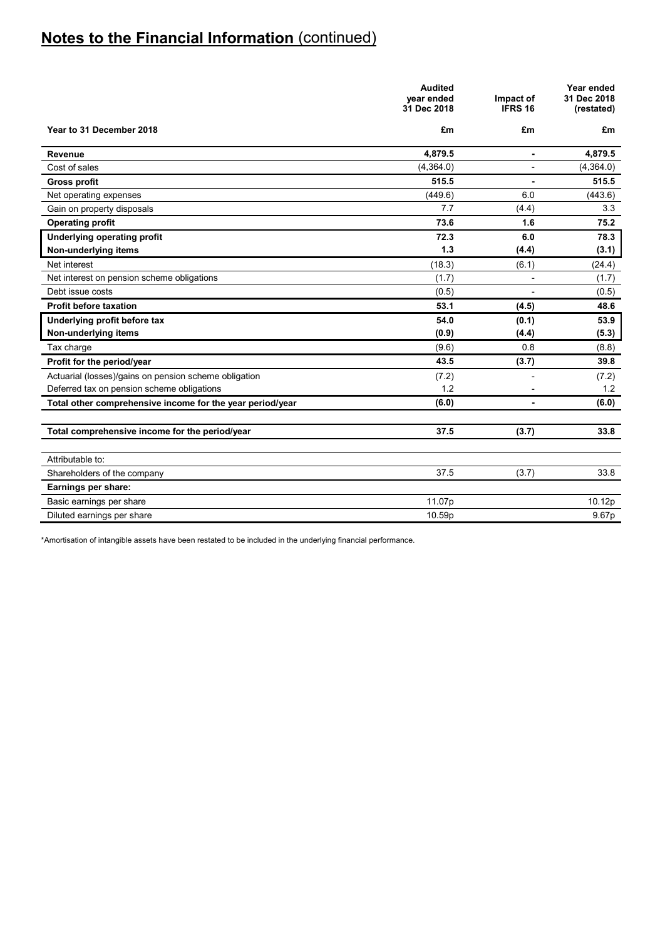|                                                           | <b>Audited</b><br>year ended<br>31 Dec 2018 | Impact of<br>IFRS 16 | Year ended<br>31 Dec 2018<br>(restated) |
|-----------------------------------------------------------|---------------------------------------------|----------------------|-----------------------------------------|
| Year to 31 December 2018                                  | £m                                          | £m                   | £m                                      |
| Revenue                                                   | 4,879.5                                     | ä,                   | 4,879.5                                 |
| Cost of sales                                             | (4,364.0)                                   |                      | (4,364.0)                               |
| <b>Gross profit</b>                                       | 515.5                                       |                      | 515.5                                   |
| Net operating expenses                                    | (449.6)                                     | 6.0                  | (443.6)                                 |
| Gain on property disposals                                | 7.7                                         | (4.4)                | 3.3                                     |
| <b>Operating profit</b>                                   | 73.6                                        | 1.6                  | 75.2                                    |
| <b>Underlying operating profit</b>                        | 72.3                                        | 6.0                  | 78.3                                    |
| Non-underlying items                                      | 1.3                                         | (4.4)                | (3.1)                                   |
| Net interest                                              | (18.3)                                      | (6.1)                | (24.4)                                  |
| Net interest on pension scheme obligations                | (1.7)                                       |                      | (1.7)                                   |
| Debt issue costs                                          | (0.5)                                       |                      | (0.5)                                   |
| <b>Profit before taxation</b>                             | 53.1                                        | (4.5)                | 48.6                                    |
| Underlying profit before tax                              | 54.0                                        | (0.1)                | 53.9                                    |
| Non-underlying items                                      | (0.9)                                       | (4.4)                | (5.3)                                   |
| Tax charge                                                | (9.6)                                       | 0.8                  | (8.8)                                   |
| Profit for the period/year                                | 43.5                                        | (3.7)                | 39.8                                    |
| Actuarial (losses)/gains on pension scheme obligation     | (7.2)                                       |                      | (7.2)                                   |
| Deferred tax on pension scheme obligations                | 1.2                                         |                      | 1.2                                     |
| Total other comprehensive income for the year period/year | (6.0)                                       | ۰                    | (6.0)                                   |
|                                                           |                                             |                      |                                         |
| Total comprehensive income for the period/year            | 37.5                                        | (3.7)                | 33.8                                    |
|                                                           |                                             |                      |                                         |
| Attributable to:                                          |                                             |                      |                                         |
| Shareholders of the company                               | 37.5                                        | (3.7)                | 33.8                                    |
| Earnings per share:                                       |                                             |                      |                                         |
| Basic earnings per share                                  | 11.07p                                      |                      | 10.12p                                  |
| Diluted earnings per share                                | 10.59p                                      |                      | 9.67p                                   |

\*Amortisation of intangible assets have been restated to be included in the underlying financial performance.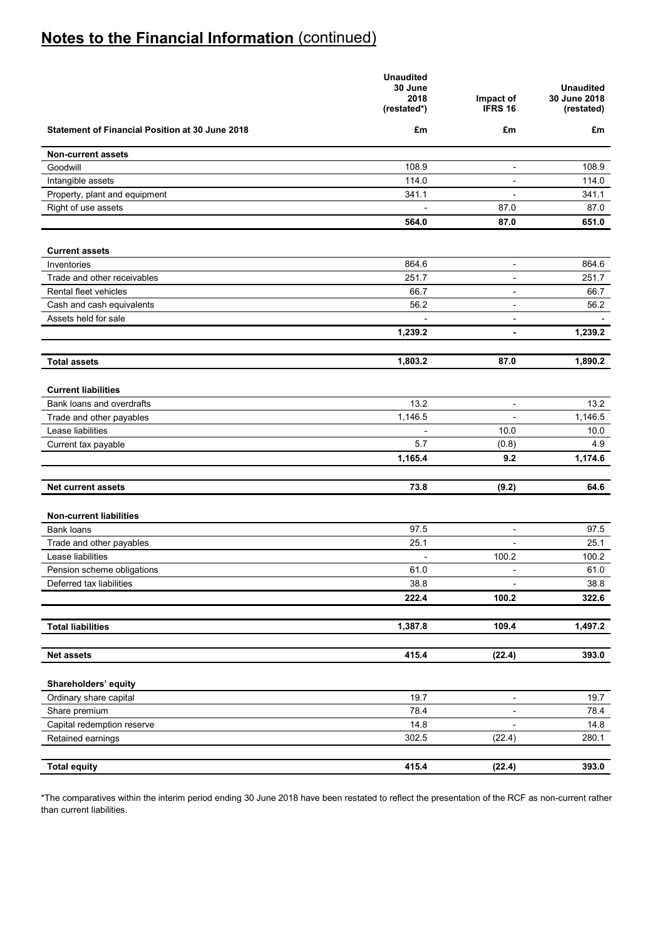|                                                        | <b>Unaudited</b><br>30 June<br>2018<br>(restated*) | Impact of<br><b>IFRS 16</b> | <b>Unaudited</b><br>30 June 2018<br>(restated) |
|--------------------------------------------------------|----------------------------------------------------|-----------------------------|------------------------------------------------|
| <b>Statement of Financial Position at 30 June 2018</b> | £m                                                 | £m                          | £m                                             |
| <b>Non-current assets</b>                              |                                                    |                             |                                                |
| Goodwill                                               | 108.9                                              | $\overline{\phantom{a}}$    | 108.9                                          |
| Intangible assets                                      | 114.0                                              | $\overline{\phantom{a}}$    | 114.0                                          |
| Property, plant and equipment                          | 341.1                                              | $\blacksquare$              | 341.1                                          |
| Right of use assets                                    |                                                    | 87.0                        | 87.0                                           |
|                                                        | 564.0                                              | 87.0                        | 651.0                                          |
| <b>Current assets</b>                                  |                                                    |                             |                                                |
| Inventories                                            | 864.6                                              | $\overline{\phantom{a}}$    | 864.6                                          |
| Trade and other receivables                            | 251.7                                              | $\overline{\phantom{a}}$    | 251.7                                          |
| Rental fleet vehicles                                  | 66.7                                               | $\overline{\phantom{a}}$    | 66.7                                           |
| Cash and cash equivalents                              | 56.2                                               | $\overline{\phantom{a}}$    | 56.2                                           |
| Assets held for sale                                   |                                                    | $\overline{\phantom{a}}$    |                                                |
|                                                        | 1,239.2                                            | ٠                           | 1,239.2                                        |
|                                                        |                                                    |                             |                                                |
| <b>Total assets</b>                                    | 1,803.2                                            | 87.0                        | 1,890.2                                        |
|                                                        |                                                    |                             |                                                |
| <b>Current liabilities</b>                             |                                                    |                             |                                                |
| Bank loans and overdrafts                              | 13.2                                               | $\overline{\phantom{a}}$    | 13.2                                           |
| Trade and other payables<br>Lease liabilities          | 1,146.5                                            | 10.0                        | 1,146.5<br>10.0                                |
|                                                        | 5.7                                                | (0.8)                       | 4.9                                            |
| Current tax payable                                    | 1,165.4                                            | 9.2                         | 1,174.6                                        |
|                                                        |                                                    |                             |                                                |
| <b>Net current assets</b>                              | 73.8                                               | (9.2)                       | 64.6                                           |
|                                                        |                                                    |                             |                                                |
| <b>Non-current liabilities</b><br><b>Bank loans</b>    | 97.5                                               |                             | 97.5                                           |
| Trade and other payables                               | 25.1                                               | $\overline{\phantom{a}}$    | 25.1                                           |
| Lease liabilities                                      |                                                    | 100.2                       | 100.2                                          |
| Pension scheme obligations                             | 61.0                                               |                             | 61.0                                           |
| Deferred tax liabilities                               | 38.8                                               |                             | 38.8                                           |
|                                                        | 222.4                                              | 100.2                       | 322.6                                          |
|                                                        |                                                    |                             |                                                |
| <b>Total liabilities</b>                               | 1,387.8                                            | 109.4                       | 1,497.2                                        |
|                                                        |                                                    |                             |                                                |
| <b>Net assets</b>                                      | 415.4                                              | (22.4)                      | 393.0                                          |
| Shareholders' equity                                   |                                                    |                             |                                                |
| Ordinary share capital                                 | 19.7                                               | $\overline{\phantom{a}}$    | 19.7                                           |
| Share premium                                          | 78.4                                               | $\overline{\phantom{a}}$    | 78.4                                           |
| Capital redemption reserve                             | 14.8                                               | $\blacksquare$              | 14.8                                           |
| Retained earnings                                      | 302.5                                              | (22.4)                      | 280.1                                          |
|                                                        |                                                    |                             |                                                |
| <b>Total equity</b>                                    | 415.4                                              | (22.4)                      | 393.0                                          |

\*The comparatives within the interim period ending 30 June 2018 have been restated to reflect the presentation of the RCF as non-current rather than current liabilities.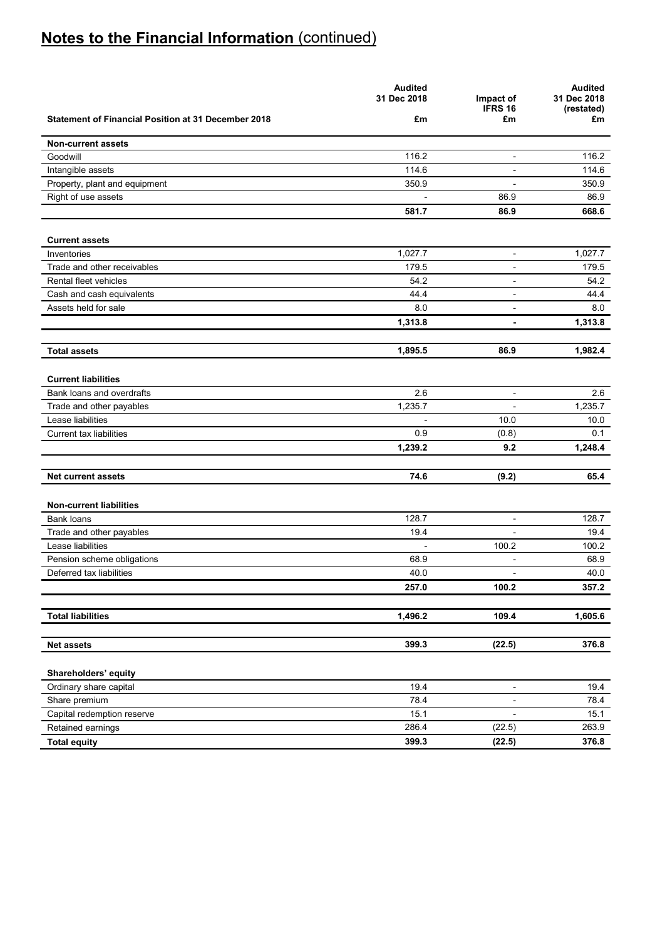|                                                            | <b>Audited</b><br>31 Dec 2018 | Impact of<br><b>IFRS 16</b> | <b>Audited</b><br>31 Dec 2018<br>(restated) |
|------------------------------------------------------------|-------------------------------|-----------------------------|---------------------------------------------|
| <b>Statement of Financial Position at 31 December 2018</b> | £m                            | £m                          | £m                                          |
| <b>Non-current assets</b>                                  |                               |                             |                                             |
| Goodwill                                                   | 116.2                         | $\blacksquare$              | 116.2                                       |
| Intangible assets                                          | 114.6                         | $\blacksquare$              | 114.6                                       |
| Property, plant and equipment                              | 350.9                         | $\overline{\phantom{a}}$    | 350.9                                       |
| Right of use assets                                        |                               | 86.9                        | 86.9                                        |
|                                                            | 581.7                         | 86.9                        | 668.6                                       |
| <b>Current assets</b>                                      |                               |                             |                                             |
| Inventories                                                | 1,027.7                       | $\overline{\phantom{a}}$    | 1,027.7                                     |
| Trade and other receivables                                | 179.5                         | $\overline{\phantom{a}}$    | 179.5                                       |
| Rental fleet vehicles                                      | 54.2                          | $\overline{\phantom{a}}$    | 54.2                                        |
| Cash and cash equivalents                                  | 44.4                          | $\overline{\phantom{a}}$    | 44.4                                        |
| Assets held for sale                                       | 8.0                           | $\overline{\phantom{a}}$    | 8.0                                         |
|                                                            | 1,313.8                       | $\blacksquare$              | 1,313.8                                     |
| <b>Total assets</b>                                        | 1,895.5                       | 86.9                        | 1,982.4                                     |
| <b>Current liabilities</b>                                 |                               |                             |                                             |
| Bank loans and overdrafts                                  | 2.6                           | $\overline{\phantom{a}}$    | 2.6                                         |
| Trade and other payables                                   | 1,235.7                       |                             | 1,235.7                                     |
| Lease liabilities                                          |                               | 10.0                        | 10.0                                        |
| <b>Current tax liabilities</b>                             | 0.9                           | (0.8)                       | 0.1                                         |
|                                                            | 1,239.2                       | 9.2                         | 1,248.4                                     |
|                                                            |                               |                             |                                             |
| <b>Net current assets</b>                                  | 74.6                          | (9.2)                       | 65.4                                        |
| <b>Non-current liabilities</b>                             |                               |                             |                                             |
| Bank loans                                                 | 128.7                         | $\blacksquare$              | 128.7                                       |
| Trade and other payables                                   | 19.4                          | $\overline{a}$              | 19.4                                        |
| Lease liabilities                                          | $\overline{\phantom{a}}$      | 100.2                       | 100.2                                       |
| Pension scheme obligations                                 | 68.9                          | $\blacksquare$              | 68.9                                        |
| Deferred tax liabilities                                   | 40.0                          | $\overline{\phantom{a}}$    | 40.0                                        |
|                                                            | 257.0                         | 100.2                       | 357.2                                       |
| <b>Total liabilities</b>                                   | 1,496.2                       | 109.4                       | 1,605.6                                     |
|                                                            |                               |                             |                                             |
| <b>Net assets</b>                                          | 399.3                         | (22.5)                      | 376.8                                       |
| Shareholders' equity                                       |                               |                             |                                             |
| Ordinary share capital                                     | 19.4                          | $\overline{\phantom{a}}$    | 19.4                                        |
| Share premium                                              | 78.4                          | $\overline{\phantom{a}}$    | 78.4                                        |
| Capital redemption reserve                                 | 15.1                          | $\overline{\phantom{a}}$    | 15.1                                        |
| Retained earnings                                          | 286.4                         | (22.5)                      | 263.9                                       |
| <b>Total equity</b>                                        | 399.3                         | (22.5)                      | 376.8                                       |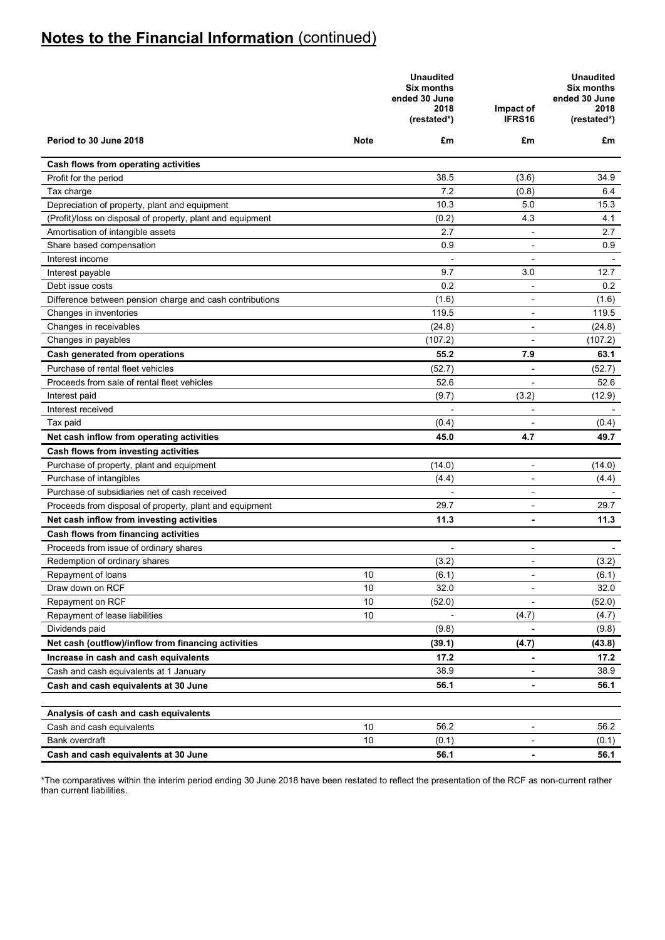|                                                            |             | <b>Unaudited</b><br><b>Six months</b><br>ended 30 June<br>2018<br>(restated*) | Impact of<br>IFRS16          | <b>Unaudited</b><br>Six months<br>ended 30 June<br>2018<br>(restated*) |
|------------------------------------------------------------|-------------|-------------------------------------------------------------------------------|------------------------------|------------------------------------------------------------------------|
| Period to 30 June 2018                                     | <b>Note</b> | £m                                                                            | £m                           | £m                                                                     |
| Cash flows from operating activities                       |             |                                                                               |                              |                                                                        |
| Profit for the period                                      |             | 38.5                                                                          | (3.6)                        | 34.9                                                                   |
| Tax charge                                                 |             | 7.2                                                                           | (0.8)                        | 6.4                                                                    |
| Depreciation of property, plant and equipment              |             | 10.3                                                                          | 5.0                          | 15.3                                                                   |
| (Profit)/loss on disposal of property, plant and equipment |             | (0.2)                                                                         | 4.3                          | 4.1                                                                    |
| Amortisation of intangible assets                          |             | 2.7                                                                           | ÷,                           | 2.7                                                                    |
| Share based compensation                                   |             | 0.9                                                                           | $\blacksquare$               | 0.9                                                                    |
| Interest income                                            |             | $\overline{\phantom{a}}$                                                      | $\overline{\phantom{a}}$     |                                                                        |
| Interest payable                                           |             | 9.7                                                                           | 3.0                          | 12.7                                                                   |
| Debt issue costs                                           |             | 0.2                                                                           | $\overline{\phantom{a}}$     | 0.2                                                                    |
| Difference between pension charge and cash contributions   |             | (1.6)                                                                         | $\overline{\phantom{a}}$     | (1.6)                                                                  |
| Changes in inventories                                     |             | 119.5                                                                         | $\overline{\phantom{a}}$     | 119.5                                                                  |
| Changes in receivables                                     |             | (24.8)                                                                        | $\blacksquare$               | (24.8)                                                                 |
| Changes in payables                                        |             | (107.2)                                                                       |                              | (107.2)                                                                |
| Cash generated from operations                             |             | 55.2                                                                          | 7.9                          | 63.1                                                                   |
| Purchase of rental fleet vehicles                          |             | (52.7)                                                                        |                              | (52.7)                                                                 |
| Proceeds from sale of rental fleet vehicles                |             | 52.6                                                                          |                              | 52.6                                                                   |
| Interest paid                                              |             | (9.7)                                                                         | (3.2)                        | (12.9)                                                                 |
| Interest received                                          |             |                                                                               |                              |                                                                        |
| Tax paid                                                   |             | (0.4)                                                                         |                              | (0.4)                                                                  |
| Net cash inflow from operating activities                  |             | 45.0                                                                          | 4.7                          | 49.7                                                                   |
| Cash flows from investing activities                       |             |                                                                               |                              |                                                                        |
| Purchase of property, plant and equipment                  |             | (14.0)                                                                        | $\overline{\phantom{a}}$     | (14.0)                                                                 |
| Purchase of intangibles                                    |             | (4.4)                                                                         | $\overline{\phantom{a}}$     | (4.4)                                                                  |
| Purchase of subsidiaries net of cash received              |             |                                                                               | $\overline{\phantom{a}}$     |                                                                        |
| Proceeds from disposal of property, plant and equipment    |             | 29.7                                                                          | $\overline{\phantom{a}}$     | 29.7                                                                   |
| Net cash inflow from investing activities                  |             | 11.3                                                                          | $\blacksquare$               | 11.3                                                                   |
| Cash flows from financing activities                       |             |                                                                               |                              |                                                                        |
| Proceeds from issue of ordinary shares                     |             |                                                                               |                              |                                                                        |
| Redemption of ordinary shares                              |             | (3.2)                                                                         | $\overline{\phantom{a}}$     | (3.2)                                                                  |
| Repayment of loans                                         | 10          | (6.1)                                                                         | $\overline{\phantom{a}}$     | (6.1)                                                                  |
| Draw down on RCF                                           | 10          | 32.0                                                                          |                              | 32.0                                                                   |
| Repayment on RCF                                           | 10          | (52.0)                                                                        | $\overline{\phantom{a}}$     | (52.0)                                                                 |
| Repayment of lease liabilities                             | 10          |                                                                               | (4.7)                        | (4.7)                                                                  |
| Dividends paid                                             |             | (9.8)                                                                         | $\overline{a}$               | (9.8)                                                                  |
| Net cash (outflow)/inflow from financing activities        |             | (39.1)                                                                        | (4.7)                        | (43.8)                                                                 |
| Increase in cash and cash equivalents                      |             | 17.2                                                                          |                              | 17.2                                                                   |
| Cash and cash equivalents at 1 January                     |             | 38.9                                                                          |                              | 38.9                                                                   |
| Cash and cash equivalents at 30 June                       |             | 56.1                                                                          | ٠                            | 56.1                                                                   |
|                                                            |             |                                                                               |                              |                                                                        |
| Analysis of cash and cash equivalents                      |             |                                                                               |                              |                                                                        |
| Cash and cash equivalents                                  | 10          | 56.2                                                                          | $\qquad \qquad \blacksquare$ | 56.2                                                                   |
| Bank overdraft                                             | 10          | (0.1)                                                                         | $\overline{\phantom{a}}$     | (0.1)                                                                  |
| Cash and cash equivalents at 30 June                       |             | 56.1                                                                          | $\blacksquare$               | 56.1                                                                   |

\*The comparatives within the interim period ending 30 June 2018 have been restated to reflect the presentation of the RCF as non-current rather than current liabilities.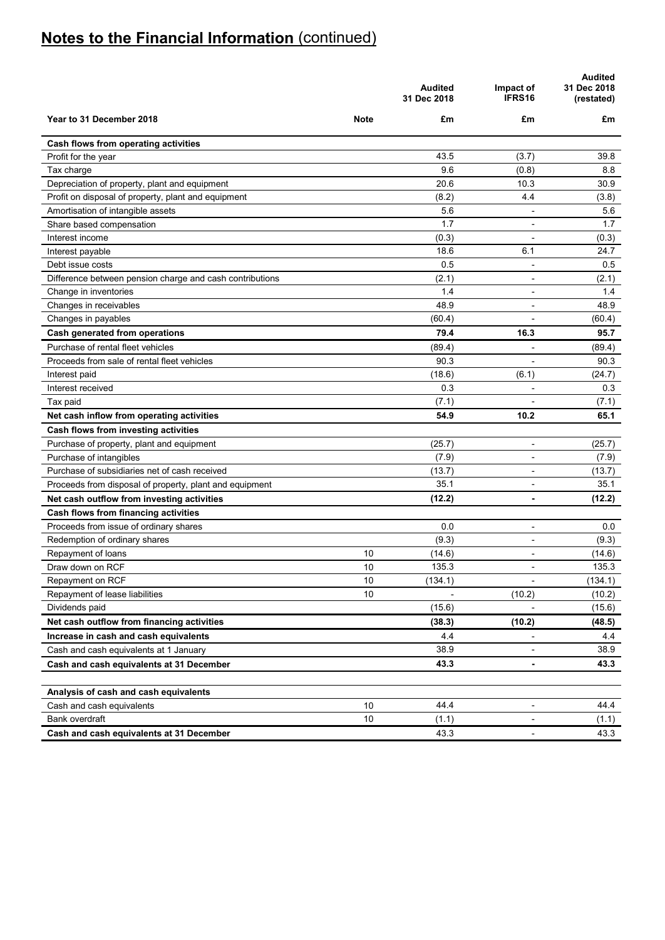|                                                          |             | <b>Audited</b><br>31 Dec 2018 | Impact of<br>IFRS16      | <b>Audited</b><br>31 Dec 2018<br>(restated) |
|----------------------------------------------------------|-------------|-------------------------------|--------------------------|---------------------------------------------|
| Year to 31 December 2018                                 | <b>Note</b> | £m                            | £m                       | £m                                          |
| Cash flows from operating activities                     |             |                               |                          |                                             |
| Profit for the year                                      |             | 43.5                          | (3.7)                    | 39.8                                        |
| Tax charge                                               |             | 9.6                           | (0.8)                    | 8.8                                         |
| Depreciation of property, plant and equipment            |             | 20.6                          | 10.3                     | 30.9                                        |
| Profit on disposal of property, plant and equipment      |             | (8.2)                         | 4.4                      | (3.8)                                       |
| Amortisation of intangible assets                        |             | 5.6                           |                          | 5.6                                         |
| Share based compensation                                 |             | 1.7                           |                          | 1.7                                         |
| Interest income                                          |             | (0.3)                         |                          | (0.3)                                       |
| Interest payable                                         |             | 18.6                          | 6.1                      | 24.7                                        |
| Debt issue costs                                         |             | 0.5                           | $\overline{\phantom{a}}$ | 0.5                                         |
| Difference between pension charge and cash contributions |             | (2.1)                         | $\overline{\phantom{a}}$ | (2.1)                                       |
| Change in inventories                                    |             | 1.4                           | $\blacksquare$           | 1.4                                         |
| Changes in receivables                                   |             | 48.9                          | L,                       | 48.9                                        |
| Changes in payables                                      |             | (60.4)                        |                          | (60.4)                                      |
| Cash generated from operations                           |             | 79.4                          | 16.3                     | 95.7                                        |
| Purchase of rental fleet vehicles                        |             | (89.4)                        |                          | (89.4)                                      |
| Proceeds from sale of rental fleet vehicles              |             | 90.3                          |                          | 90.3                                        |
| Interest paid                                            |             | (18.6)                        | (6.1)                    | (24.7)                                      |
| Interest received                                        |             | 0.3                           |                          | 0.3                                         |
| Tax paid                                                 |             | (7.1)                         |                          | (7.1)                                       |
| Net cash inflow from operating activities                |             | 54.9                          | 10.2                     | 65.1                                        |
| Cash flows from investing activities                     |             |                               |                          |                                             |
| Purchase of property, plant and equipment                |             | (25.7)                        | $\blacksquare$           | (25.7)                                      |
| Purchase of intangibles                                  |             | (7.9)                         |                          | (7.9)                                       |
| Purchase of subsidiaries net of cash received            |             | (13.7)                        | $\blacksquare$           | (13.7)                                      |
| Proceeds from disposal of property, plant and equipment  |             | 35.1                          |                          | 35.1                                        |
| Net cash outflow from investing activities               |             | (12.2)                        | ٠                        | (12.2)                                      |
| Cash flows from financing activities                     |             |                               |                          |                                             |
| Proceeds from issue of ordinary shares                   |             | 0.0                           | $\blacksquare$           | 0.0                                         |
| Redemption of ordinary shares                            |             | (9.3)                         | $\blacksquare$           | (9.3)                                       |
| Repayment of loans                                       | 10          | (14.6)                        | $\blacksquare$           | (14.6)                                      |
| Draw down on RCF                                         | 10          | 135.3                         | $\blacksquare$           | 135.3                                       |
| Repayment on RCF                                         | 10          | (134.1)                       | ÷,                       | (134.1)                                     |
| Repayment of lease liabilities                           | 10          |                               | (10.2)                   | (10.2)                                      |
| Dividends paid                                           |             | (15.6)                        |                          | (15.6)                                      |
| Net cash outflow from financing activities               |             | (38.3)                        | (10.2)                   | (48.5)                                      |
| Increase in cash and cash equivalents                    |             | 4.4                           | ۰                        | 4.4                                         |
| Cash and cash equivalents at 1 January                   |             | 38.9                          | $\overline{a}$           | 38.9                                        |
| Cash and cash equivalents at 31 December                 |             | 43.3                          | $\blacksquare$           | 43.3                                        |
| Analysis of cash and cash equivalents                    |             |                               |                          |                                             |
| Cash and cash equivalents                                | 10          | 44.4                          |                          | 44.4                                        |
| Bank overdraft                                           | 10          | (1.1)                         |                          | (1.1)                                       |
| Cash and cash equivalents at 31 December                 |             | 43.3                          | -                        | 43.3                                        |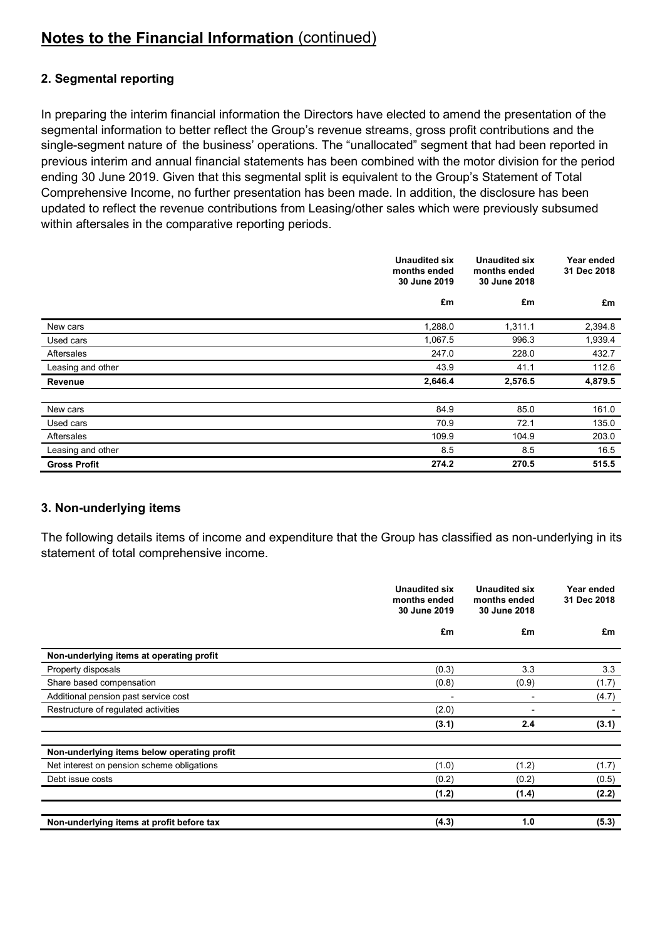## **2. Segmental reporting**

In preparing the interim financial information the Directors have elected to amend the presentation of the segmental information to better reflect the Group's revenue streams, gross profit contributions and the single-segment nature of the business' operations. The "unallocated" segment that had been reported in previous interim and annual financial statements has been combined with the motor division for the period ending 30 June 2019. Given that this segmental split is equivalent to the Group's Statement of Total Comprehensive Income, no further presentation has been made. In addition, the disclosure has been updated to reflect the revenue contributions from Leasing/other sales which were previously subsumed within aftersales in the comparative reporting periods.

|                     | <b>Unaudited six</b><br>months ended<br>30 June 2019 | <b>Unaudited six</b><br>months ended<br>30 June 2018 | Year ended<br>31 Dec 2018 |
|---------------------|------------------------------------------------------|------------------------------------------------------|---------------------------|
|                     | £m                                                   | £m                                                   | £m                        |
| New cars            | 1,288.0                                              | 1,311.1                                              | 2,394.8                   |
| Used cars           | 1,067.5                                              | 996.3                                                | 1,939.4                   |
| Aftersales          | 247.0                                                | 228.0                                                | 432.7                     |
| Leasing and other   | 43.9                                                 | 41.1                                                 | 112.6                     |
| Revenue             | 2,646.4                                              | 2,576.5                                              | 4,879.5                   |
| New cars            | 84.9                                                 | 85.0                                                 | 161.0                     |
| Used cars           | 70.9                                                 | 72.1                                                 | 135.0                     |
| Aftersales          | 109.9                                                | 104.9                                                | 203.0                     |
| Leasing and other   | 8.5                                                  | 8.5                                                  | 16.5                      |
| <b>Gross Profit</b> | 274.2                                                | 270.5                                                | 515.5                     |

### **3. Non-underlying items**

The following details items of income and expenditure that the Group has classified as non-underlying in its statement of total comprehensive income.

|                                             | <b>Unaudited six</b><br>months ended<br>30 June 2019 | <b>Unaudited six</b><br>months ended<br>30 June 2018 | Year ended<br>31 Dec 2018 |
|---------------------------------------------|------------------------------------------------------|------------------------------------------------------|---------------------------|
|                                             | £m                                                   | £m                                                   | £m                        |
| Non-underlying items at operating profit    |                                                      |                                                      |                           |
| Property disposals                          | (0.3)                                                | 3.3                                                  | 3.3                       |
| Share based compensation                    | (0.8)                                                | (0.9)                                                | (1.7)                     |
| Additional pension past service cost        | -                                                    |                                                      | (4.7)                     |
| Restructure of regulated activities         | (2.0)                                                |                                                      |                           |
|                                             | (3.1)                                                | 2.4                                                  | (3.1)                     |
| Non-underlying items below operating profit |                                                      |                                                      |                           |
| Net interest on pension scheme obligations  | (1.0)                                                | (1.2)                                                | (1.7)                     |
| Debt issue costs                            | (0.2)                                                | (0.2)                                                | (0.5)                     |
|                                             | (1.2)                                                | (1.4)                                                | (2.2)                     |
| Non-underlying items at profit before tax   | (4.3)                                                | 1.0                                                  | (5.3)                     |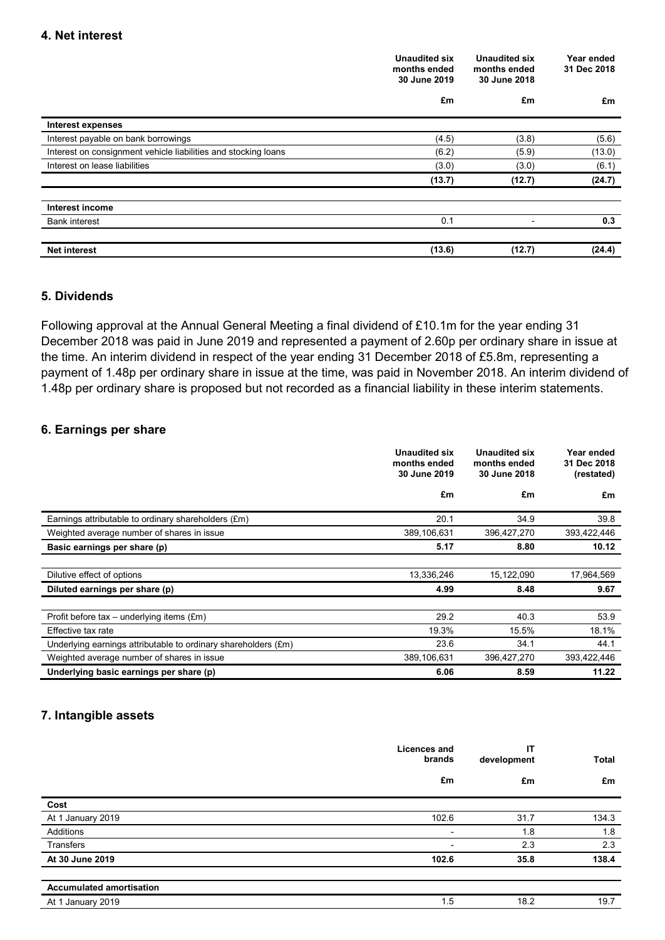|                                                                | <b>Unaudited six</b><br>months ended<br>30 June 2019<br>£m | Unaudited six<br>months ended<br>30 June 2018<br>£m |        | Year ended<br>31 Dec 2018 |
|----------------------------------------------------------------|------------------------------------------------------------|-----------------------------------------------------|--------|---------------------------|
|                                                                |                                                            |                                                     | £m     |                           |
| <b>Interest expenses</b>                                       |                                                            |                                                     |        |                           |
| Interest payable on bank borrowings                            | (4.5)                                                      | (3.8)                                               | (5.6)  |                           |
| Interest on consignment vehicle liabilities and stocking loans | (6.2)                                                      | (5.9)                                               | (13.0) |                           |
| Interest on lease liabilities                                  | (3.0)                                                      | (3.0)                                               | (6.1)  |                           |
|                                                                | (13.7)                                                     | (12.7)                                              | (24.7) |                           |
| Interest income                                                |                                                            |                                                     |        |                           |
| <b>Bank interest</b>                                           | 0.1                                                        | $\overline{\phantom{0}}$                            | 0.3    |                           |
| <b>Net interest</b>                                            | (13.6)                                                     | (12.7)                                              | (24.4) |                           |

## **5. Dividends**

Following approval at the Annual General Meeting a final dividend of £10.1m for the year ending 31 December 2018 was paid in June 2019 and represented a payment of 2.60p per ordinary share in issue at the time. An interim dividend in respect of the year ending 31 December 2018 of £5.8m, representing a payment of 1.48p per ordinary share in issue at the time, was paid in November 2018. An interim dividend of 1.48p per ordinary share is proposed but not recorded as a financial liability in these interim statements.

### **6. Earnings per share**

|                                                                | Unaudited six<br>months ended<br>30 June 2019 | <b>Unaudited six</b><br>months ended<br>30 June 2018 | Year ended<br>31 Dec 2018<br>(restated) |
|----------------------------------------------------------------|-----------------------------------------------|------------------------------------------------------|-----------------------------------------|
|                                                                | £m                                            | £m                                                   | £m                                      |
| Earnings attributable to ordinary shareholders (£m)            | 20.1                                          | 34.9                                                 | 39.8                                    |
| Weighted average number of shares in issue                     | 389,106,631                                   | 396,427,270                                          | 393,422,446                             |
| Basic earnings per share (p)                                   | 5.17                                          | 8.80                                                 | 10.12                                   |
|                                                                |                                               |                                                      |                                         |
| Dilutive effect of options                                     | 13,336,246                                    | 15,122,090                                           | 17,964,569                              |
| Diluted earnings per share (p)                                 | 4.99                                          | 8.48                                                 | 9.67                                    |
|                                                                |                                               |                                                      |                                         |
| Profit before tax – underlying items $(\text{Em})$             | 29.2                                          | 40.3                                                 | 53.9                                    |
| Effective tax rate                                             | 19.3%                                         | 15.5%                                                | 18.1%                                   |
| Underlying earnings attributable to ordinary shareholders (£m) | 23.6                                          | 34.1                                                 | 44.1                                    |
| Weighted average number of shares in issue                     | 389,106,631                                   | 396,427,270                                          | 393,422,446                             |
| Underlying basic earnings per share (p)                        | 6.06                                          | 8.59                                                 | 11.22                                   |

## **7. Intangible assets**

|                                 | <b>Licences and</b><br>brands | IT<br>development | <b>Total</b> |
|---------------------------------|-------------------------------|-------------------|--------------|
|                                 | £m                            | £m                | £m           |
| Cost                            |                               |                   |              |
| At 1 January 2019               | 102.6                         | 31.7              | 134.3        |
| Additions                       | $\overline{\phantom{a}}$      | 1.8               | 1.8          |
| <b>Transfers</b>                | ۰                             | 2.3               | 2.3          |
| At 30 June 2019                 | 102.6                         | 35.8              | 138.4        |
|                                 |                               |                   |              |
| <b>Accumulated amortisation</b> |                               |                   |              |

| ን19<br>Δt<br>January<br>AU I<br>$\cdot$ | -<br>$\cdot$ . |  |
|-----------------------------------------|----------------|--|
|                                         |                |  |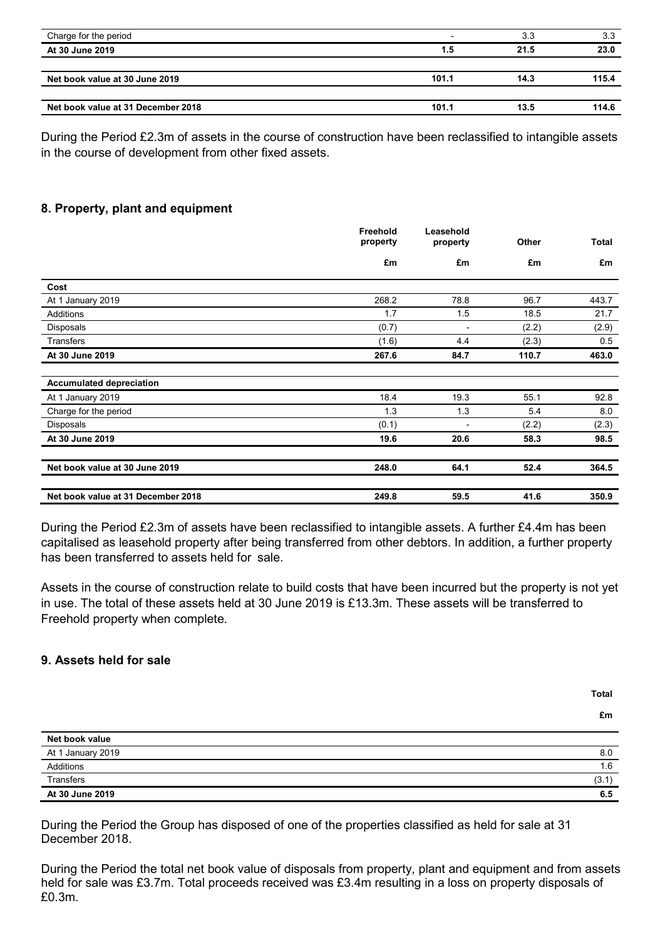| Charge for the period              |       | 3.3  | 3.3   |
|------------------------------------|-------|------|-------|
| At 30 June 2019                    | 1.5   | 21.5 | 23.0  |
|                                    |       |      |       |
| Net book value at 30 June 2019     | 101.1 | 14.3 | 115.4 |
|                                    |       |      |       |
| Net book value at 31 December 2018 | 101.1 | 13.5 | 114.6 |

During the Period £2.3m of assets in the course of construction have been reclassified to intangible assets in the course of development from other fixed assets.

### **8. Property, plant and equipment**

|                                    | Freehold<br>property | Leasehold<br>property | Other | <b>Total</b> |
|------------------------------------|----------------------|-----------------------|-------|--------------|
|                                    | £m                   | £m                    | £m    | £m           |
| Cost                               |                      |                       |       |              |
| At 1 January 2019                  | 268.2                | 78.8                  | 96.7  | 443.7        |
| Additions                          | 1.7                  | 1.5                   | 18.5  | 21.7         |
| <b>Disposals</b>                   | (0.7)                |                       | (2.2) | (2.9)        |
| <b>Transfers</b>                   | (1.6)                | 4.4                   | (2.3) | 0.5          |
| At 30 June 2019                    | 267.6                | 84.7                  | 110.7 | 463.0        |
| <b>Accumulated depreciation</b>    |                      |                       |       |              |
| At 1 January 2019                  | 18.4                 | 19.3                  | 55.1  | 92.8         |
| Charge for the period              | 1.3                  | 1.3                   | 5.4   | 8.0          |
| <b>Disposals</b>                   | (0.1)                | ٠                     | (2.2) | (2.3)        |
| At 30 June 2019                    | 19.6                 | 20.6                  | 58.3  | 98.5         |
| Net book value at 30 June 2019     | 248.0                | 64.1                  | 52.4  | 364.5        |
| Net book value at 31 December 2018 | 249.8                | 59.5                  | 41.6  | 350.9        |

During the Period £2.3m of assets have been reclassified to intangible assets. A further £4.4m has been capitalised as leasehold property after being transferred from other debtors. In addition, a further property has been transferred to assets held for sale.

Assets in the course of construction relate to build costs that have been incurred but the property is not yet in use. The total of these assets held at 30 June 2019 is £13.3m. These assets will be transferred to Freehold property when complete.

### **9. Assets held for sale**

**Total**

**£m**

| Net book value    |       |
|-------------------|-------|
| At 1 January 2019 | 8.0   |
| Additions         | 1.6   |
| Transfers         | (3.1) |
| At 30 June 2019   | 6.5   |

During the Period the Group has disposed of one of the properties classified as held for sale at 31 December 2018.

During the Period the total net book value of disposals from property, plant and equipment and from assets held for sale was £3.7m. Total proceeds received was £3.4m resulting in a loss on property disposals of £0.3m.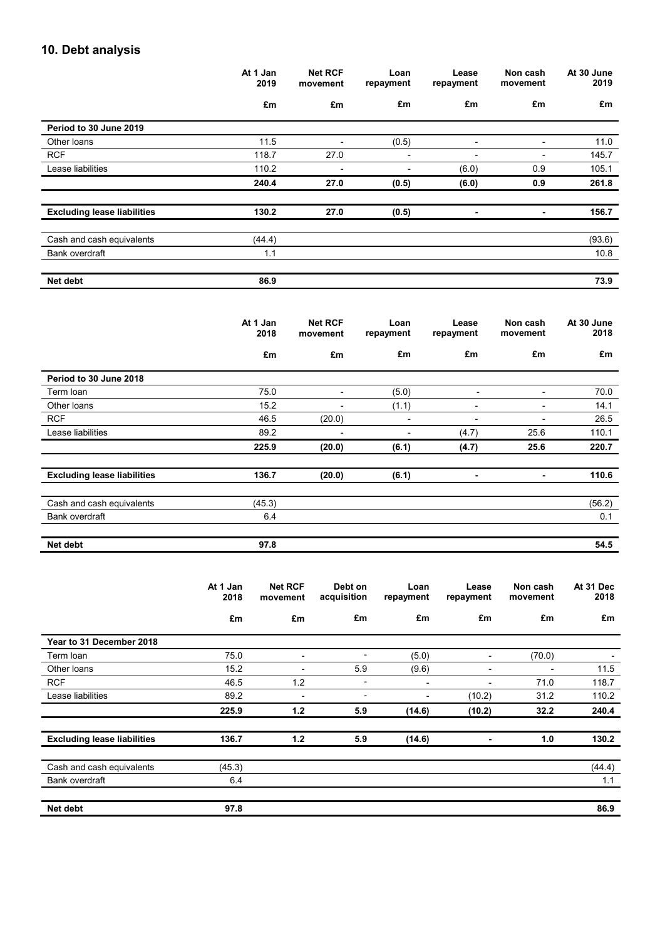## **10. Debt analysis**

|                                    | At 1 Jan<br>2019 | <b>Net RCF</b><br>movement | Loan<br>repayment | Lease<br>repayment       | Non cash<br>movement     | At 30 June<br>2019 |
|------------------------------------|------------------|----------------------------|-------------------|--------------------------|--------------------------|--------------------|
|                                    | £m               | £m                         | £m                | £m                       | £m                       | £m                 |
| Period to 30 June 2019             |                  |                            |                   |                          |                          |                    |
| Other loans                        | 11.5             | $\blacksquare$             | (0.5)             | $\blacksquare$           | -                        | 11.0               |
| <b>RCF</b>                         | 118.7            | 27.0                       |                   | $\overline{\phantom{a}}$ | $\overline{\phantom{0}}$ | 145.7              |
| Lease liabilities                  | 110.2            | $\overline{\phantom{0}}$   |                   | (6.0)                    | 0.9                      | 105.1              |
|                                    | 240.4            | 27.0                       | (0.5)             | (6.0)                    | 0.9                      | 261.8              |
| <b>Excluding lease liabilities</b> | 130.2            | 27.0                       | (0.5)             | ٠                        | ۰                        | 156.7              |
| Cash and cash equivalents          | (44.4)           |                            |                   |                          |                          | (93.6)             |
| Bank overdraft                     | 1.1              |                            |                   |                          |                          | 10.8               |
| Net debt                           | 86.9             |                            |                   |                          |                          | 73.9               |

|                                    | At 1 Jan<br>2018 | <b>Net RCF</b><br>movement | Loan<br>repayment | Lease<br>repayment       | Non cash<br>movement | At 30 June<br>2018 |
|------------------------------------|------------------|----------------------------|-------------------|--------------------------|----------------------|--------------------|
|                                    | £m               | £m                         | £m                | £m                       | £m                   | £m                 |
| Period to 30 June 2018             |                  |                            |                   |                          |                      |                    |
| Term Ioan                          | 75.0             | -                          | (5.0)             |                          | -                    | 70.0               |
| Other loans                        | 15.2             | $\overline{\phantom{0}}$   | (1.1)             | -                        | -                    | 14.1               |
| <b>RCF</b>                         | 46.5             | (20.0)                     | ٠                 | $\overline{\phantom{0}}$ | -                    | 26.5               |
| Lease liabilities                  | 89.2             | ٠                          |                   | (4.7)                    | 25.6                 | 110.1              |
|                                    | 225.9            | (20.0)                     | (6.1)             | (4.7)                    | 25.6                 | 220.7              |
| <b>Excluding lease liabilities</b> | 136.7            | (20.0)                     | (6.1)             | ٠                        | ٠                    | 110.6              |
| Cash and cash equivalents          | (45.3)           |                            |                   |                          |                      | (56.2)             |
| Bank overdraft                     | 6.4              |                            |                   |                          |                      | 0.1                |
| Net debt                           | 97.8             |                            |                   |                          |                      | 54.5               |

|                                    | At 1 Jan<br>2018 | <b>Net RCF</b><br>movement | Debt on<br>acquisition | Loan<br>repayment | Lease<br>repayment | Non cash<br>movement | At 31 Dec<br>2018 |
|------------------------------------|------------------|----------------------------|------------------------|-------------------|--------------------|----------------------|-------------------|
|                                    | £m               | £m                         | £m                     | £m                | £m                 | £m                   | £m                |
| Year to 31 December 2018           |                  |                            |                        |                   |                    |                      |                   |
| Term Ioan                          | 75.0             | -                          |                        | (5.0)             | -                  | (70.0)               |                   |
| Other loans                        | 15.2             | -                          | 5.9                    | (9.6)             | ۰                  | -                    | 11.5              |
| <b>RCF</b>                         | 46.5             | 1.2                        | -                      | -                 | -                  | 71.0                 | 118.7             |
| Lease liabilities                  | 89.2             | -                          | -                      | -                 | (10.2)             | 31.2                 | 110.2             |
|                                    | 225.9            | 1.2                        | 5.9                    | (14.6)            | (10.2)             | 32.2                 | 240.4             |
| <b>Excluding lease liabilities</b> | 136.7            | 1.2                        | 5.9                    | (14.6)            | ۰                  | 1.0                  | 130.2             |
| Cash and cash equivalents          | (45.3)           |                            |                        |                   |                    |                      | (44.4)            |
| Bank overdraft                     | 6.4              |                            |                        |                   |                    |                      | 1.1               |
| Net debt                           | 97.8             |                            |                        |                   |                    |                      | 86.9              |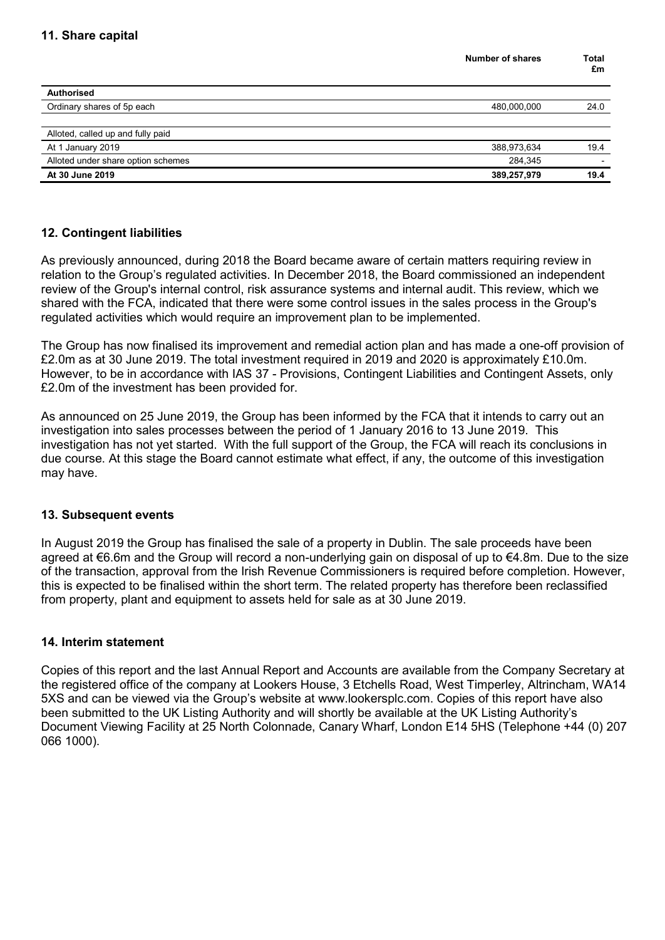|                                    | <b>Number of shares</b> | Total<br>£m |
|------------------------------------|-------------------------|-------------|
| <b>Authorised</b>                  |                         |             |
| Ordinary shares of 5p each         | 480,000,000             | 24.0        |
|                                    |                         |             |
| Alloted, called up and fully paid  |                         |             |
| At 1 January 2019                  | 388,973,634             | 19.4        |
| Alloted under share option schemes | 284,345                 |             |
| At 30 June 2019                    | 389,257,979             | 19.4        |
|                                    |                         |             |

## **12. Contingent liabilities**

As previously announced, during 2018 the Board became aware of certain matters requiring review in relation to the Group's regulated activities. In December 2018, the Board commissioned an independent review of the Group's internal control, risk assurance systems and internal audit. This review, which we shared with the FCA, indicated that there were some control issues in the sales process in the Group's regulated activities which would require an improvement plan to be implemented.

The Group has now finalised its improvement and remedial action plan and has made a one-off provision of £2.0m as at 30 June 2019. The total investment required in 2019 and 2020 is approximately £10.0m. However, to be in accordance with IAS 37 - Provisions, Contingent Liabilities and Contingent Assets, only £2.0m of the investment has been provided for.

As announced on 25 June 2019, the Group has been informed by the FCA that it intends to carry out an investigation into sales processes between the period of 1 January 2016 to 13 June 2019. This investigation has not yet started. With the full support of the Group, the FCA will reach its conclusions in due course. At this stage the Board cannot estimate what effect, if any, the outcome of this investigation may have.

### **13. Subsequent events**

In August 2019 the Group has finalised the sale of a property in Dublin. The sale proceeds have been agreed at €6.6m and the Group will record a non-underlying gain on disposal of up to €4.8m. Due to the size of the transaction, approval from the Irish Revenue Commissioners is required before completion. However, this is expected to be finalised within the short term. The related property has therefore been reclassified from property, plant and equipment to assets held for sale as at 30 June 2019.

### **14. Interim statement**

Copies of this report and the last Annual Report and Accounts are available from the Company Secretary at the registered office of the company at Lookers House, 3 Etchells Road, West Timperley, Altrincham, WA14 5XS and can be viewed via the Group's website at www.lookersplc.com. Copies of this report have also been submitted to the UK Listing Authority and will shortly be available at the UK Listing Authority's Document Viewing Facility at 25 North Colonnade, Canary Wharf, London E14 5HS (Telephone +44 (0) 207 066 1000).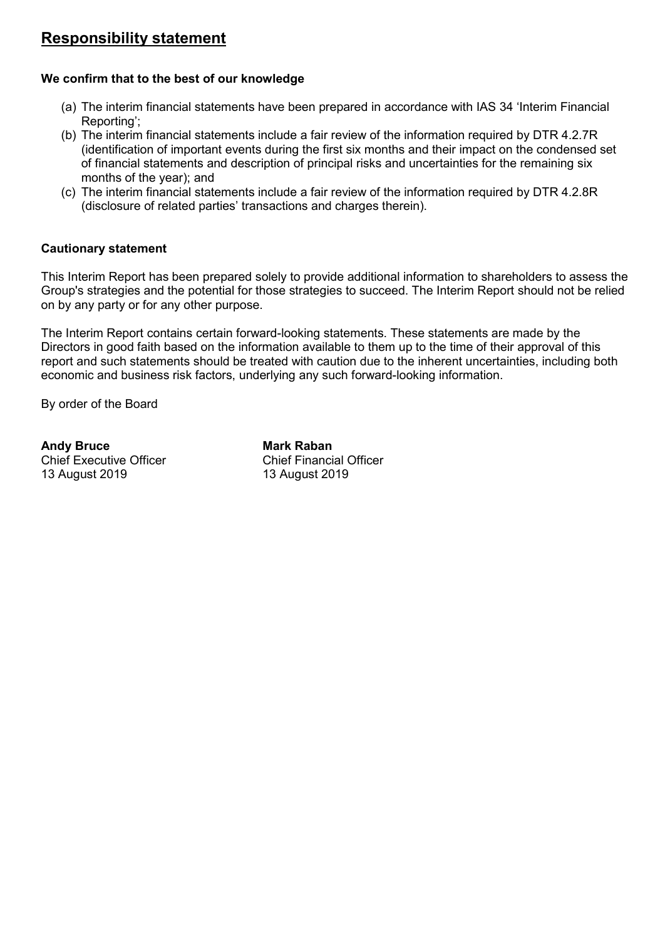## **Responsibility statement**

## **We confirm that to the best of our knowledge**

- (a) The interim financial statements have been prepared in accordance with IAS 34 'Interim Financial Reporting';
- (b) The interim financial statements include a fair review of the information required by DTR 4.2.7R (identification of important events during the first six months and their impact on the condensed set of financial statements and description of principal risks and uncertainties for the remaining six months of the year); and
- (c) The interim financial statements include a fair review of the information required by DTR 4.2.8R (disclosure of related parties' transactions and charges therein).

## **Cautionary statement**

This Interim Report has been prepared solely to provide additional information to shareholders to assess the Group's strategies and the potential for those strategies to succeed. The Interim Report should not be relied on by any party or for any other purpose.

The Interim Report contains certain forward-looking statements. These statements are made by the Directors in good faith based on the information available to them up to the time of their approval of this report and such statements should be treated with caution due to the inherent uncertainties, including both economic and business risk factors, underlying any such forward-looking information.

By order of the Board

**Chief Executive Officer** 13 August 2019 13 August 2019

**Andy Bruce Mark Raban**<br>
Chief Executive Officer<br>
Chief Financial Officer